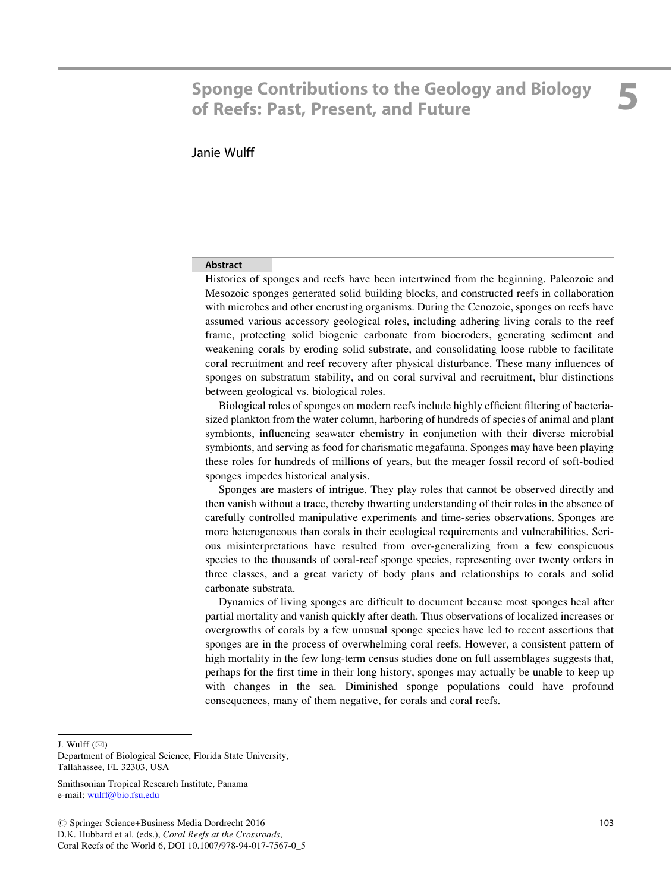# Sponge Contributions to the Geology and Biology **5**<br>of Reefs: Past, Present, and Future

# Janie Wulff

#### Abstract

Histories of sponges and reefs have been intertwined from the beginning. Paleozoic and Mesozoic sponges generated solid building blocks, and constructed reefs in collaboration with microbes and other encrusting organisms. During the Cenozoic, sponges on reefs have assumed various accessory geological roles, including adhering living corals to the reef frame, protecting solid biogenic carbonate from bioeroders, generating sediment and weakening corals by eroding solid substrate, and consolidating loose rubble to facilitate coral recruitment and reef recovery after physical disturbance. These many influences of sponges on substratum stability, and on coral survival and recruitment, blur distinctions between geological vs. biological roles.

Biological roles of sponges on modern reefs include highly efficient filtering of bacteriasized plankton from the water column, harboring of hundreds of species of animal and plant symbionts, influencing seawater chemistry in conjunction with their diverse microbial symbionts, and serving as food for charismatic megafauna. Sponges may have been playing these roles for hundreds of millions of years, but the meager fossil record of soft-bodied sponges impedes historical analysis.

Sponges are masters of intrigue. They play roles that cannot be observed directly and then vanish without a trace, thereby thwarting understanding of their roles in the absence of carefully controlled manipulative experiments and time-series observations. Sponges are more heterogeneous than corals in their ecological requirements and vulnerabilities. Serious misinterpretations have resulted from over-generalizing from a few conspicuous species to the thousands of coral-reef sponge species, representing over twenty orders in three classes, and a great variety of body plans and relationships to corals and solid carbonate substrata.

Dynamics of living sponges are difficult to document because most sponges heal after partial mortality and vanish quickly after death. Thus observations of localized increases or overgrowths of corals by a few unusual sponge species have led to recent assertions that sponges are in the process of overwhelming coral reefs. However, a consistent pattern of high mortality in the few long-term census studies done on full assemblages suggests that, perhaps for the first time in their long history, sponges may actually be unable to keep up with changes in the sea. Diminished sponge populations could have profound consequences, many of them negative, for corals and coral reefs.

J. Wulff  $(\boxtimes)$ 

Smithsonian Tropical Research Institute, Panama e-mail: [wulff@bio.fsu.edu](mailto:wulff@bio.fsu.edu)

 $\oslash$  Springer Science+Business Media Dordrecht 2016 D.K. Hubbard et al. (eds.), Coral Reefs at the Crossroads, Coral Reefs of the World 6, DOI 10.1007/978-94-017-7567-0\_5

Department of Biological Science, Florida State University, Tallahassee, FL 32303, USA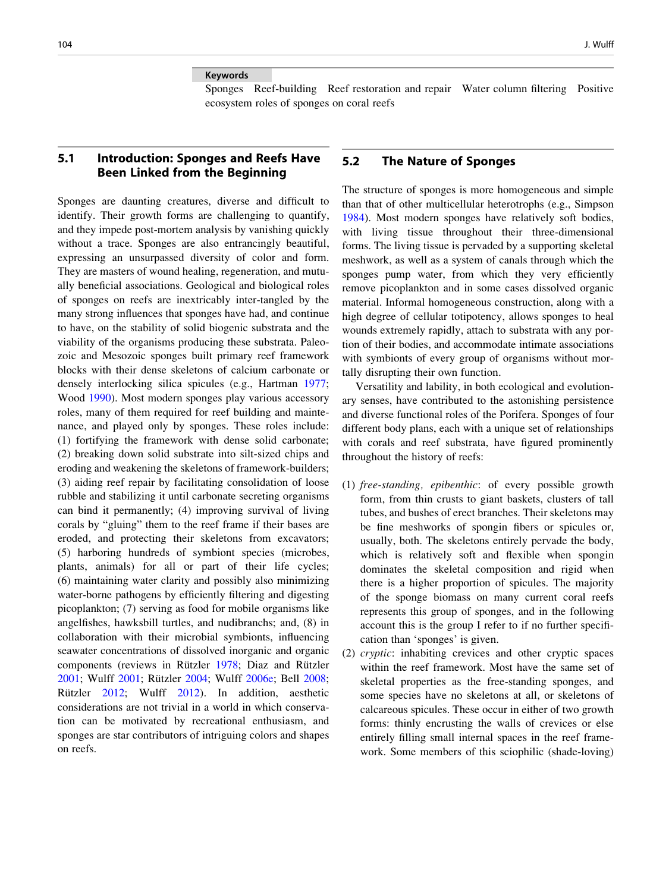#### Keywords

Sponges Reef-building Reef restoration and repair Water column filtering Positive ecosystem roles of sponges on coral reefs

## 5.1 Introduction: Sponges and Reefs Have Been Linked from the Beginning

Sponges are daunting creatures, diverse and difficult to identify. Their growth forms are challenging to quantify, and they impede post-mortem analysis by vanishing quickly without a trace. Sponges are also entrancingly beautiful, expressing an unsurpassed diversity of color and form. They are masters of wound healing, regeneration, and mutually beneficial associations. Geological and biological roles of sponges on reefs are inextricably inter-tangled by the many strong influences that sponges have had, and continue to have, on the stability of solid biogenic substrata and the viability of the organisms producing these substrata. Paleozoic and Mesozoic sponges built primary reef framework blocks with their dense skeletons of calcium carbonate or densely interlocking silica spicules (e.g., Hartman [1977](#page-20-0); Wood [1990\)](#page-23-0). Most modern sponges play various accessory roles, many of them required for reef building and maintenance, and played only by sponges. These roles include: (1) fortifying the framework with dense solid carbonate; (2) breaking down solid substrate into silt-sized chips and eroding and weakening the skeletons of framework-builders; (3) aiding reef repair by facilitating consolidation of loose rubble and stabilizing it until carbonate secreting organisms can bind it permanently; (4) improving survival of living corals by "gluing" them to the reef frame if their bases are eroded, and protecting their skeletons from excavators; (5) harboring hundreds of symbiont species (microbes, plants, animals) for all or part of their life cycles; (6) maintaining water clarity and possibly also minimizing water-borne pathogens by efficiently filtering and digesting picoplankton; (7) serving as food for mobile organisms like angelfishes, hawksbill turtles, and nudibranchs; and, (8) in collaboration with their microbial symbionts, influencing seawater concentrations of dissolved inorganic and organic components (reviews in Rützler [1978](#page-21-0); Diaz and Rützler [2001;](#page-20-0) Wulff [2001;](#page-23-0) Rützler [2004](#page-21-0); Wulff [2006e;](#page-23-0) Bell [2008](#page-19-0); Rützler [2012;](#page-21-0) Wulff [2012](#page-23-0)). In addition, aesthetic considerations are not trivial in a world in which conservation can be motivated by recreational enthusiasm, and sponges are star contributors of intriguing colors and shapes on reefs.

#### 5.2 The Nature of Sponges

The structure of sponges is more homogeneous and simple than that of other multicellular heterotrophs (e.g., Simpson [1984](#page-22-0)). Most modern sponges have relatively soft bodies, with living tissue throughout their three-dimensional forms. The living tissue is pervaded by a supporting skeletal meshwork, as well as a system of canals through which the sponges pump water, from which they very efficiently remove picoplankton and in some cases dissolved organic material. Informal homogeneous construction, along with a high degree of cellular totipotency, allows sponges to heal wounds extremely rapidly, attach to substrata with any portion of their bodies, and accommodate intimate associations with symbionts of every group of organisms without mortally disrupting their own function.

Versatility and lability, in both ecological and evolutionary senses, have contributed to the astonishing persistence and diverse functional roles of the Porifera. Sponges of four different body plans, each with a unique set of relationships with corals and reef substrata, have figured prominently throughout the history of reefs:

- (1) free-standing, epibenthic: of every possible growth form, from thin crusts to giant baskets, clusters of tall tubes, and bushes of erect branches. Their skeletons may be fine meshworks of spongin fibers or spicules or, usually, both. The skeletons entirely pervade the body, which is relatively soft and flexible when spongin dominates the skeletal composition and rigid when there is a higher proportion of spicules. The majority of the sponge biomass on many current coral reefs represents this group of sponges, and in the following account this is the group I refer to if no further specification than 'sponges' is given.
- (2) cryptic: inhabiting crevices and other cryptic spaces within the reef framework. Most have the same set of skeletal properties as the free-standing sponges, and some species have no skeletons at all, or skeletons of calcareous spicules. These occur in either of two growth forms: thinly encrusting the walls of crevices or else entirely filling small internal spaces in the reef framework. Some members of this sciophilic (shade-loving)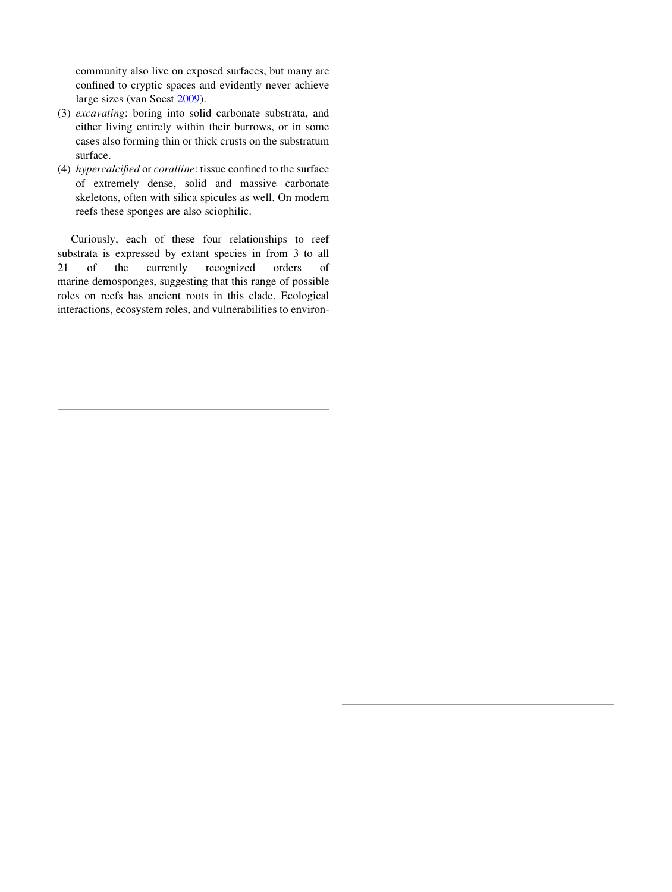community also live on exposed surfaces, but many are confined to cryptic spaces and evidently never achieve large sizes (van Soest [2009](#page-22-0)).

- (3) excavating: boring into solid carbonate substrata, and either living entirely within their burrows, or in some cases also forming thin or thick crusts on the substratum surface.
- (4) hypercalcified or coralline: tissue confined to the surface of extremely dense, solid and massive carbonate skeletons, often with silica spicules as well. On modern reefs these sponges are also sciophilic.

Curiously, each of these four relationships to reef substrata is expressed by extant species in from 3 to all 21 of the currently recognized orders of marine demosponges, suggesting that this range of possible roles on reefs has ancient roots in this clade. Ecological interactions, ecosystem roles, and vulnerabilities to environ-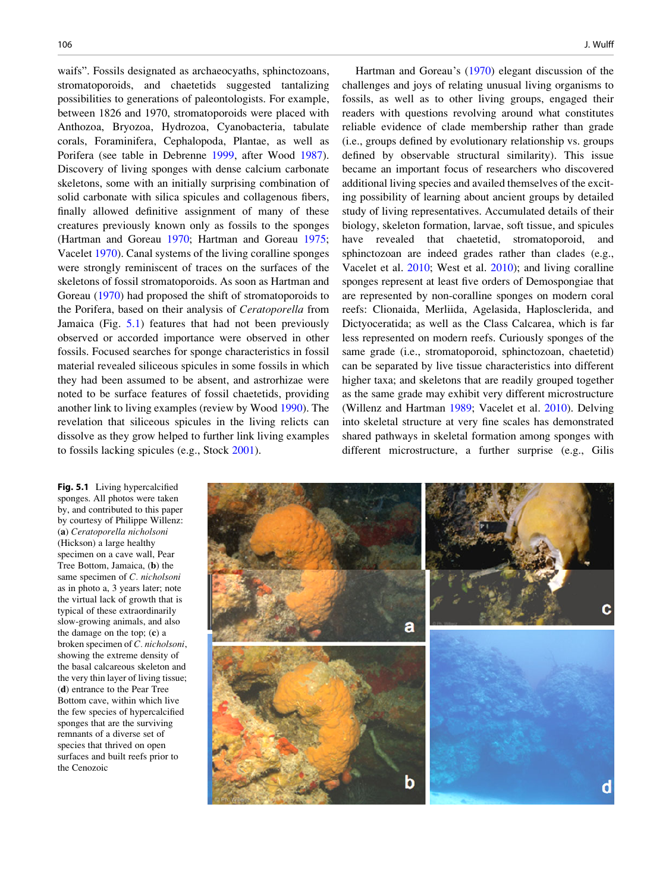<span id="page-3-0"></span>waifs". Fossils designated as archaeocyaths, sphinctozoans, stromatoporoids, and chaetetids suggested tantalizing possibilities to generations of paleontologists. For example, between 1826 and 1970, stromatoporoids were placed with Anthozoa, Bryozoa, Hydrozoa, Cyanobacteria, tabulate corals, Foraminifera, Cephalopoda, Plantae, as well as Porifera (see table in Debrenne [1999,](#page-20-0) after Wood [1987](#page-23-0)). Discovery of living sponges with dense calcium carbonate skeletons, some with an initially surprising combination of solid carbonate with silica spicules and collagenous fibers, finally allowed definitive assignment of many of these creatures previously known only as fossils to the sponges (Hartman and Goreau [1970;](#page-20-0) Hartman and Goreau [1975](#page-20-0); Vacelet [1970\)](#page-22-0). Canal systems of the living coralline sponges were strongly reminiscent of traces on the surfaces of the skeletons of fossil stromatoporoids. As soon as Hartman and Goreau ([1970\)](#page-20-0) had proposed the shift of stromatoporoids to the Porifera, based on their analysis of Ceratoporella from Jamaica (Fig. 5.1) features that had not been previously observed or accorded importance were observed in other fossils. Focused searches for sponge characteristics in fossil material revealed siliceous spicules in some fossils in which they had been assumed to be absent, and astrorhizae were noted to be surface features of fossil chaetetids, providing another link to living examples (review by Wood [1990](#page-23-0)). The revelation that siliceous spicules in the living relicts can dissolve as they grow helped to further link living examples to fossils lacking spicules (e.g., Stock [2001\)](#page-22-0).

Hartman and Goreau's [\(1970](#page-20-0)) elegant discussion of the challenges and joys of relating unusual living organisms to fossils, as well as to other living groups, engaged their readers with questions revolving around what constitutes reliable evidence of clade membership rather than grade (i.e., groups defined by evolutionary relationship vs. groups defined by observable structural similarity). This issue became an important focus of researchers who discovered additional living species and availed themselves of the exciting possibility of learning about ancient groups by detailed study of living representatives. Accumulated details of their biology, skeleton formation, larvae, soft tissue, and spicules have revealed that chaetetid, stromatoporoid, and sphinctozoan are indeed grades rather than clades (e.g., Vacelet et al. [2010](#page-22-0); West et al. [2010](#page-22-0)); and living coralline sponges represent at least five orders of Demospongiae that are represented by non-coralline sponges on modern coral reefs: Clionaida, Merliida, Agelasida, Haplosclerida, and Dictyoceratida; as well as the Class Calcarea, which is far less represented on modern reefs. Curiously sponges of the same grade (i.e., stromatoporoid, sphinctozoan, chaetetid) can be separated by live tissue characteristics into different higher taxa; and skeletons that are readily grouped together as the same grade may exhibit very different microstructure (Willenz and Hartman [1989](#page-23-0); Vacelet et al. [2010\)](#page-22-0). Delving into skeletal structure at very fine scales has demonstrated shared pathways in skeletal formation among sponges with different microstructure, a further surprise (e.g., Gilis

Fig. 5.1 Living hypercalcified sponges. All photos were taken by, and contributed to this paper by courtesy of Philippe Willenz: (a) Ceratoporella nicholsoni (Hickson) a large healthy specimen on a cave wall, Pear Tree Bottom, Jamaica, (b) the same specimen of C. nicholsoni as in photo a, 3 years later; note the virtual lack of growth that is typical of these extraordinarily slow-growing animals, and also the damage on the top;  $(c)$  a broken specimen of C. nicholsoni, showing the extreme density of the basal calcareous skeleton and the very thin layer of living tissue; (d) entrance to the Pear Tree Bottom cave, within which live the few species of hypercalcified sponges that are the surviving remnants of a diverse set of species that thrived on open surfaces and built reefs prior to the Cenozoic

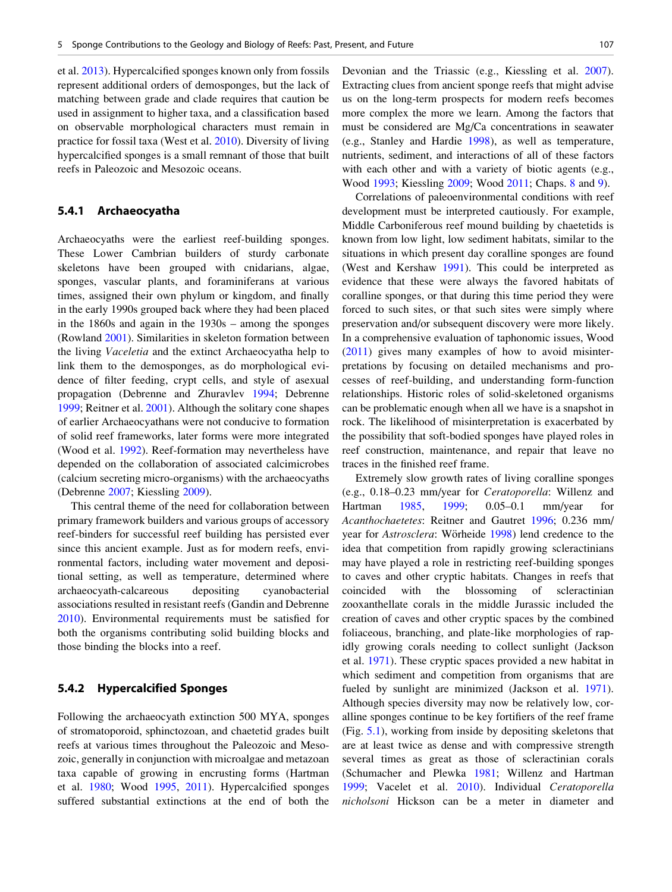et al. [2013](#page-20-0)). Hypercalcified sponges known only from fossils represent additional orders of demosponges, but the lack of matching between grade and clade requires that caution be used in assignment to higher taxa, and a classification based on observable morphological characters must remain in practice for fossil taxa (West et al. [2010](#page-22-0)). Diversity of living hypercalcified sponges is a small remnant of those that built reefs in Paleozoic and Mesozoic oceans.

#### 5.4.1 Archaeocyatha

Archaeocyaths were the earliest reef-building sponges. These Lower Cambrian builders of sturdy carbonate skeletons have been grouped with cnidarians, algae, sponges, vascular plants, and foraminiferans at various times, assigned their own phylum or kingdom, and finally in the early 1990s grouped back where they had been placed in the 1860s and again in the 1930s – among the sponges (Rowland [2001\)](#page-21-0). Similarities in skeleton formation between the living Vaceletia and the extinct Archaeocyatha help to link them to the demosponges, as do morphological evidence of filter feeding, crypt cells, and style of asexual propagation (Debrenne and Zhuravlev [1994;](#page-20-0) Debrenne [1999;](#page-20-0) Reitner et al. [2001](#page-21-0)). Although the solitary cone shapes of earlier Archaeocyathans were not conducive to formation of solid reef frameworks, later forms were more integrated (Wood et al. [1992\)](#page-23-0). Reef-formation may nevertheless have depended on the collaboration of associated calcimicrobes (calcium secreting micro-organisms) with the archaeocyaths (Debrenne [2007;](#page-20-0) Kiessling [2009](#page-20-0)).

This central theme of the need for collaboration between primary framework builders and various groups of accessory reef-binders for successful reef building has persisted ever since this ancient example. Just as for modern reefs, environmental factors, including water movement and depositional setting, as well as temperature, determined where archaeocyath-calcareous depositing cyanobacterial associations resulted in resistant reefs (Gandin and Debrenne [2010\)](#page-20-0). Environmental requirements must be satisfied for both the organisms contributing solid building blocks and those binding the blocks into a reef.

#### 5.4.2 Hypercalcified Sponges

Following the archaeocyath extinction 500 MYA, sponges of stromatoporoid, sphinctozoan, and chaetetid grades built reefs at various times throughout the Paleozoic and Mesozoic, generally in conjunction with microalgae and metazoan taxa capable of growing in encrusting forms (Hartman et al. [1980;](#page-20-0) Wood [1995,](#page-23-0) [2011](#page-23-0)). Hypercalcified sponges suffered substantial extinctions at the end of both the

Devonian and the Triassic (e.g., Kiessling et al. [2007](#page-20-0)). Extracting clues from ancient sponge reefs that might advise us on the long-term prospects for modern reefs becomes more complex the more we learn. Among the factors that must be considered are Mg/Ca concentrations in seawater (e.g., Stanley and Hardie [1998\)](#page-22-0), as well as temperature, nutrients, sediment, and interactions of all of these factors with each other and with a variety of biotic agents (e.g., Wood [1993](#page-23-0); Kiessling [2009;](#page-20-0) Wood [2011](#page-23-0); Chaps. [8](http://dx.doi.org/10.1007/978-94-017-7567-0_8) and [9](http://dx.doi.org/10.1007/978-94-017-7567-0_9)).

Correlations of paleoenvironmental conditions with reef development must be interpreted cautiously. For example, Middle Carboniferous reef mound building by chaetetids is known from low light, low sediment habitats, similar to the situations in which present day coralline sponges are found (West and Kershaw [1991](#page-22-0)). This could be interpreted as evidence that these were always the favored habitats of coralline sponges, or that during this time period they were forced to such sites, or that such sites were simply where preservation and/or subsequent discovery were more likely. In a comprehensive evaluation of taphonomic issues, Wood ([2011\)](#page-23-0) gives many examples of how to avoid misinterpretations by focusing on detailed mechanisms and processes of reef-building, and understanding form-function relationships. Historic roles of solid-skeletoned organisms can be problematic enough when all we have is a snapshot in rock. The likelihood of misinterpretation is exacerbated by the possibility that soft-bodied sponges have played roles in reef construction, maintenance, and repair that leave no traces in the finished reef frame.

Extremely slow growth rates of living coralline sponges (e.g., 0.18–0.23 mm/year for Ceratoporella: Willenz and Hartman [1985](#page-23-0), [1999](#page-23-0); 0.05–0.1 mm/year for Acanthochaetetes: Reitner and Gautret [1996;](#page-21-0) 0.236 mm/ year for Astrosclera: Wörheide [1998](#page-23-0)) lend credence to the idea that competition from rapidly growing scleractinians may have played a role in restricting reef-building sponges to caves and other cryptic habitats. Changes in reefs that coincided with the blossoming of scleractinian zooxanthellate corals in the middle Jurassic included the creation of caves and other cryptic spaces by the combined foliaceous, branching, and plate-like morphologies of rapidly growing corals needing to collect sunlight (Jackson et al. [1971\)](#page-20-0). These cryptic spaces provided a new habitat in which sediment and competition from organisms that are fueled by sunlight are minimized (Jackson et al. [1971](#page-20-0)). Although species diversity may now be relatively low, coralline sponges continue to be key fortifiers of the reef frame (Fig. [5.1\)](#page-3-0), working from inside by depositing skeletons that are at least twice as dense and with compressive strength several times as great as those of scleractinian corals (Schumacher and Plewka [1981](#page-22-0); Willenz and Hartman [1999](#page-23-0); Vacelet et al. [2010\)](#page-22-0). Individual Ceratoporella nicholsoni Hickson can be a meter in diameter and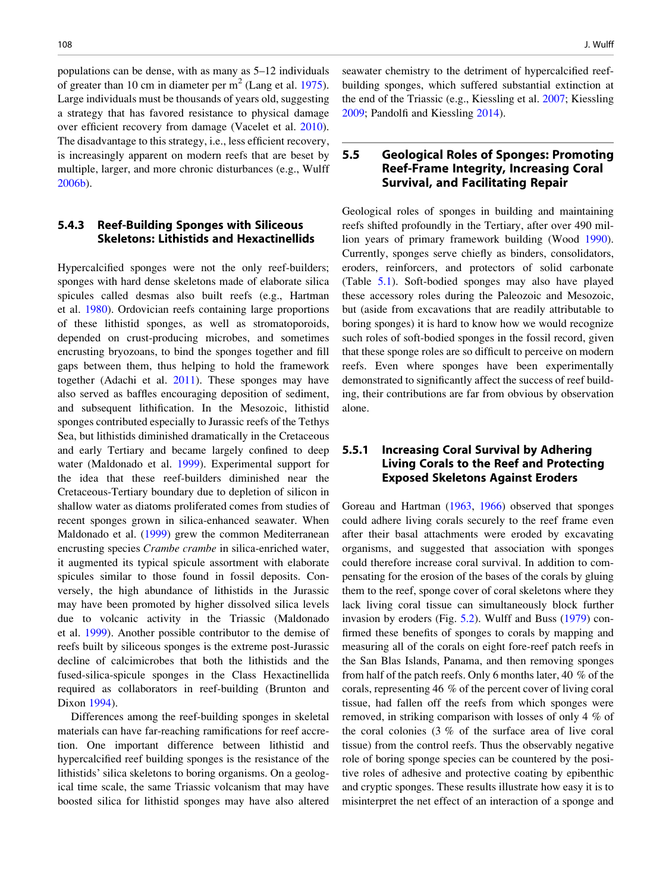populations can be dense, with as many as 5–12 individuals of greater than 10 cm in diameter per  $m<sup>2</sup>$  (Lang et al. [1975](#page-20-0)). Large individuals must be thousands of years old, suggesting a strategy that has favored resistance to physical damage over efficient recovery from damage (Vacelet et al. [2010](#page-22-0)). The disadvantage to this strategy, i.e., less efficient recovery, is increasingly apparent on modern reefs that are beset by multiple, larger, and more chronic disturbances (e.g., Wulff [2006b\)](#page-23-0).

## 5.4.3 Reef-Building Sponges with Siliceous Skeletons: Lithistids and Hexactinellids

Hypercalcified sponges were not the only reef-builders; sponges with hard dense skeletons made of elaborate silica spicules called desmas also built reefs (e.g., Hartman et al. [1980](#page-20-0)). Ordovician reefs containing large proportions of these lithistid sponges, as well as stromatoporoids, depended on crust-producing microbes, and sometimes encrusting bryozoans, to bind the sponges together and fill gaps between them, thus helping to hold the framework together (Adachi et al. [2011\)](#page-19-0). These sponges may have also served as baffles encouraging deposition of sediment, and subsequent lithification. In the Mesozoic, lithistid sponges contributed especially to Jurassic reefs of the Tethys Sea, but lithistids diminished dramatically in the Cretaceous and early Tertiary and became largely confined to deep water (Maldonado et al. [1999](#page-21-0)). Experimental support for the idea that these reef-builders diminished near the Cretaceous-Tertiary boundary due to depletion of silicon in shallow water as diatoms proliferated comes from studies of recent sponges grown in silica-enhanced seawater. When Maldonado et al. [\(1999](#page-21-0)) grew the common Mediterranean encrusting species Crambe crambe in silica-enriched water, it augmented its typical spicule assortment with elaborate spicules similar to those found in fossil deposits. Conversely, the high abundance of lithistids in the Jurassic may have been promoted by higher dissolved silica levels due to volcanic activity in the Triassic (Maldonado et al. [1999](#page-21-0)). Another possible contributor to the demise of reefs built by siliceous sponges is the extreme post-Jurassic decline of calcimicrobes that both the lithistids and the fused-silica-spicule sponges in the Class Hexactinellida required as collaborators in reef-building (Brunton and Dixon [1994\)](#page-19-0).

Differences among the reef-building sponges in skeletal materials can have far-reaching ramifications for reef accretion. One important difference between lithistid and hypercalcified reef building sponges is the resistance of the lithistids' silica skeletons to boring organisms. On a geological time scale, the same Triassic volcanism that may have boosted silica for lithistid sponges may have also altered seawater chemistry to the detriment of hypercalcified reefbuilding sponges, which suffered substantial extinction at the end of the Triassic (e.g., Kiessling et al. [2007](#page-20-0); Kiessling [2009](#page-20-0); Pandolfi and Kiessling [2014\)](#page-21-0).

# 5.5 Geological Roles of Sponges: Promoting Reef-Frame Integrity, Increasing Coral Survival, and Facilitating Repair

Geological roles of sponges in building and maintaining reefs shifted profoundly in the Tertiary, after over 490 million years of primary framework building (Wood [1990](#page-23-0)). Currently, sponges serve chiefly as binders, consolidators, eroders, reinforcers, and protectors of solid carbonate (Table [5.1](#page-6-0)). Soft-bodied sponges may also have played these accessory roles during the Paleozoic and Mesozoic, but (aside from excavations that are readily attributable to boring sponges) it is hard to know how we would recognize such roles of soft-bodied sponges in the fossil record, given that these sponge roles are so difficult to perceive on modern reefs. Even where sponges have been experimentally demonstrated to significantly affect the success of reef building, their contributions are far from obvious by observation alone.

# 5.5.1 Increasing Coral Survival by Adhering Living Corals to the Reef and Protecting Exposed Skeletons Against Eroders

Goreau and Hartman [\(1963](#page-20-0), [1966\)](#page-20-0) observed that sponges could adhere living corals securely to the reef frame even after their basal attachments were eroded by excavating organisms, and suggested that association with sponges could therefore increase coral survival. In addition to compensating for the erosion of the bases of the corals by gluing them to the reef, sponge cover of coral skeletons where they lack living coral tissue can simultaneously block further invasion by eroders (Fig. [5.2\)](#page-6-0). Wulff and Buss [\(1979](#page-23-0)) confirmed these benefits of sponges to corals by mapping and measuring all of the corals on eight fore-reef patch reefs in the San Blas Islands, Panama, and then removing sponges from half of the patch reefs. Only 6 months later, 40 % of the corals, representing 46 % of the percent cover of living coral tissue, had fallen off the reefs from which sponges were removed, in striking comparison with losses of only 4 % of the coral colonies (3 % of the surface area of live coral tissue) from the control reefs. Thus the observably negative role of boring sponge species can be countered by the positive roles of adhesive and protective coating by epibenthic and cryptic sponges. These results illustrate how easy it is to misinterpret the net effect of an interaction of a sponge and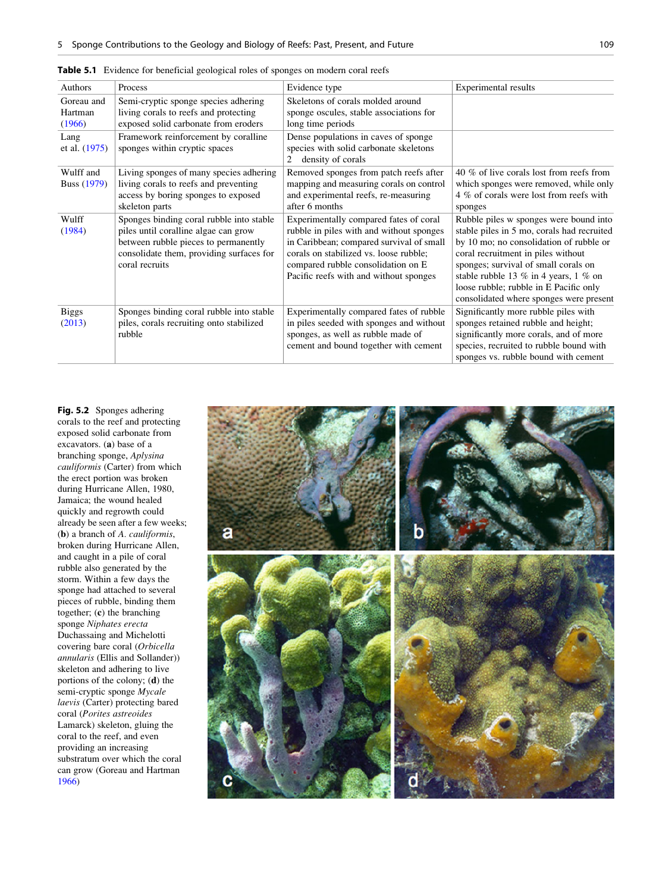| Authors                         | Process                                                                                                                                                                                | Evidence type                                                                                                                                                                                                                                            | <b>Experimental results</b>                                                                                                                                                                                                                                                                                                                       |
|---------------------------------|----------------------------------------------------------------------------------------------------------------------------------------------------------------------------------------|----------------------------------------------------------------------------------------------------------------------------------------------------------------------------------------------------------------------------------------------------------|---------------------------------------------------------------------------------------------------------------------------------------------------------------------------------------------------------------------------------------------------------------------------------------------------------------------------------------------------|
| Goreau and<br>Hartman<br>(1966) | Semi-cryptic sponge species adhering<br>living corals to reefs and protecting<br>exposed solid carbonate from eroders                                                                  | Skeletons of corals molded around<br>sponge oscules, stable associations for<br>long time periods                                                                                                                                                        |                                                                                                                                                                                                                                                                                                                                                   |
| Lang<br>et al. $(1975)$         | Framework reinforcement by coralline<br>sponges within cryptic spaces                                                                                                                  | Dense populations in caves of sponge<br>species with solid carbonate skeletons<br>density of corals<br>2                                                                                                                                                 |                                                                                                                                                                                                                                                                                                                                                   |
| Wulff and<br><b>Buss</b> (1979) | Living sponges of many species adhering<br>living corals to reefs and preventing<br>access by boring sponges to exposed<br>skeleton parts                                              | Removed sponges from patch reefs after<br>mapping and measuring corals on control<br>and experimental reefs, re-measuring<br>after 6 months                                                                                                              | 40 % of live corals lost from reefs from<br>which sponges were removed, while only<br>4 % of corals were lost from reefs with<br>sponges                                                                                                                                                                                                          |
| Wulff<br>(1984)                 | Sponges binding coral rubble into stable<br>piles until coralline algae can grow<br>between rubble pieces to permanently<br>consolidate them, providing surfaces for<br>coral recruits | Experimentally compared fates of coral<br>rubble in piles with and without sponges<br>in Caribbean; compared survival of small<br>corals on stabilized vs. loose rubble;<br>compared rubble consolidation on E<br>Pacific reefs with and without sponges | Rubble piles w sponges were bound into<br>stable piles in 5 mo, corals had recruited<br>by 10 mo; no consolidation of rubble or<br>coral recruitment in piles without<br>sponges; survival of small corals on<br>stable rubble 13 $\%$ in 4 years, 1 $\%$ on<br>loose rubble; rubble in E Pacific only<br>consolidated where sponges were present |
| <b>Biggs</b><br>(2013)          | Sponges binding coral rubble into stable<br>piles, corals recruiting onto stabilized<br>rubble                                                                                         | Experimentally compared fates of rubble<br>in piles seeded with sponges and without<br>sponges, as well as rubble made of<br>cement and bound together with cement                                                                                       | Significantly more rubble piles with<br>sponges retained rubble and height;<br>significantly more corals, and of more<br>species, recruited to rubble bound with<br>sponges vs. rubble bound with cement                                                                                                                                          |

<span id="page-6-0"></span>Table 5.1 Evidence for beneficial geological roles of sponges on modern coral reefs

Fig. 5.2 Sponges adhering corals to the reef and protecting exposed solid carbonate from excavators. (a) base of a branching sponge, Aplysina cauliformis (Carter) from which the erect portion was broken during Hurricane Allen, 1980, Jamaica; the wound healed quickly and regrowth could already be seen after a few weeks; (b) a branch of A. cauliformis, broken during Hurricane Allen, and caught in a pile of coral rubble also generated by the storm. Within a few days the sponge had attached to several pieces of rubble, binding them together; (c) the branching sponge Niphates erecta Duchassaing and Michelotti covering bare coral (Orbicella annularis (Ellis and Sollander)) skeleton and adhering to live portions of the colony; (d) the semi-cryptic sponge Mycale laevis (Carter) protecting bared coral (Porites astreoides Lamarck) skeleton, gluing the coral to the reef, and even providing an increasing substratum over which the coral can grow (Goreau and Hartman [1966\)](#page-20-0)

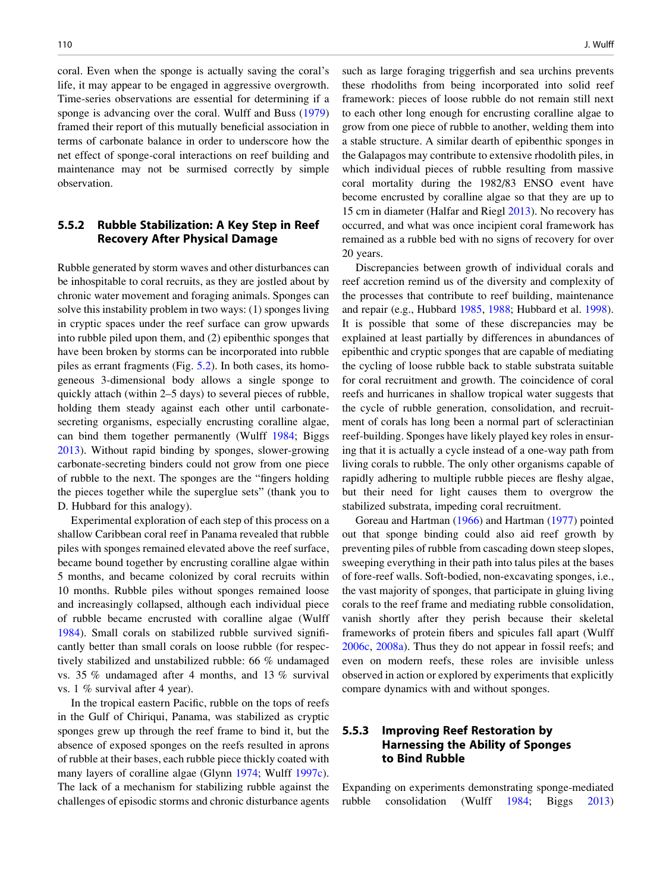coral. Even when the sponge is actually saving the coral's life, it may appear to be engaged in aggressive overgrowth. Time-series observations are essential for determining if a sponge is advancing over the coral. Wulff and Buss ([1979\)](#page-23-0) framed their report of this mutually beneficial association in terms of carbonate balance in order to underscore how the net effect of sponge-coral interactions on reef building and maintenance may not be surmised correctly by simple observation.

## 5.5.2 Rubble Stabilization: A Key Step in Reef Recovery After Physical Damage

Rubble generated by storm waves and other disturbances can be inhospitable to coral recruits, as they are jostled about by chronic water movement and foraging animals. Sponges can solve this instability problem in two ways: (1) sponges living in cryptic spaces under the reef surface can grow upwards into rubble piled upon them, and (2) epibenthic sponges that have been broken by storms can be incorporated into rubble piles as errant fragments (Fig. [5.2](#page-6-0)). In both cases, its homogeneous 3-dimensional body allows a single sponge to quickly attach (within 2–5 days) to several pieces of rubble, holding them steady against each other until carbonatesecreting organisms, especially encrusting coralline algae, can bind them together permanently (Wulff [1984](#page-23-0); Biggs [2013\)](#page-19-0). Without rapid binding by sponges, slower-growing carbonate-secreting binders could not grow from one piece of rubble to the next. The sponges are the "fingers holding the pieces together while the superglue sets" (thank you to D. Hubbard for this analogy).

Experimental exploration of each step of this process on a shallow Caribbean coral reef in Panama revealed that rubble piles with sponges remained elevated above the reef surface, became bound together by encrusting coralline algae within 5 months, and became colonized by coral recruits within 10 months. Rubble piles without sponges remained loose and increasingly collapsed, although each individual piece of rubble became encrusted with coralline algae (Wulff [1984\)](#page-23-0). Small corals on stabilized rubble survived significantly better than small corals on loose rubble (for respectively stabilized and unstabilized rubble: 66 % undamaged vs. 35 % undamaged after 4 months, and 13 % survival vs. 1 % survival after 4 year).

In the tropical eastern Pacific, rubble on the tops of reefs in the Gulf of Chiriqui, Panama, was stabilized as cryptic sponges grew up through the reef frame to bind it, but the absence of exposed sponges on the reefs resulted in aprons of rubble at their bases, each rubble piece thickly coated with many layers of coralline algae (Glynn [1974;](#page-20-0) Wulff [1997c](#page-23-0)). The lack of a mechanism for stabilizing rubble against the challenges of episodic storms and chronic disturbance agents

such as large foraging triggerfish and sea urchins prevents these rhodoliths from being incorporated into solid reef framework: pieces of loose rubble do not remain still next to each other long enough for encrusting coralline algae to grow from one piece of rubble to another, welding them into a stable structure. A similar dearth of epibenthic sponges in the Galapagos may contribute to extensive rhodolith piles, in which individual pieces of rubble resulting from massive coral mortality during the 1982/83 ENSO event have become encrusted by coralline algae so that they are up to 15 cm in diameter (Halfar and Riegl [2013\)](#page-20-0). No recovery has occurred, and what was once incipient coral framework has remained as a rubble bed with no signs of recovery for over 20 years.

Discrepancies between growth of individual corals and reef accretion remind us of the diversity and complexity of the processes that contribute to reef building, maintenance and repair (e.g., Hubbard [1985](#page-20-0), [1988;](#page-20-0) Hubbard et al. [1998](#page-20-0)). It is possible that some of these discrepancies may be explained at least partially by differences in abundances of epibenthic and cryptic sponges that are capable of mediating the cycling of loose rubble back to stable substrata suitable for coral recruitment and growth. The coincidence of coral reefs and hurricanes in shallow tropical water suggests that the cycle of rubble generation, consolidation, and recruitment of corals has long been a normal part of scleractinian reef-building. Sponges have likely played key roles in ensuring that it is actually a cycle instead of a one-way path from living corals to rubble. The only other organisms capable of rapidly adhering to multiple rubble pieces are fleshy algae, but their need for light causes them to overgrow the stabilized substrata, impeding coral recruitment.

Goreau and Hartman ([1966\)](#page-20-0) and Hartman [\(1977](#page-20-0)) pointed out that sponge binding could also aid reef growth by preventing piles of rubble from cascading down steep slopes, sweeping everything in their path into talus piles at the bases of fore-reef walls. Soft-bodied, non-excavating sponges, i.e., the vast majority of sponges, that participate in gluing living corals to the reef frame and mediating rubble consolidation, vanish shortly after they perish because their skeletal frameworks of protein fibers and spicules fall apart (Wulff [2006c,](#page-23-0) [2008a\)](#page-23-0). Thus they do not appear in fossil reefs; and even on modern reefs, these roles are invisible unless observed in action or explored by experiments that explicitly compare dynamics with and without sponges.

# 5.5.3 Improving Reef Restoration by Harnessing the Ability of Sponges to Bind Rubble

Expanding on experiments demonstrating sponge-mediated rubble consolidation (Wulff [1984;](#page-23-0) Biggs [2013\)](#page-19-0)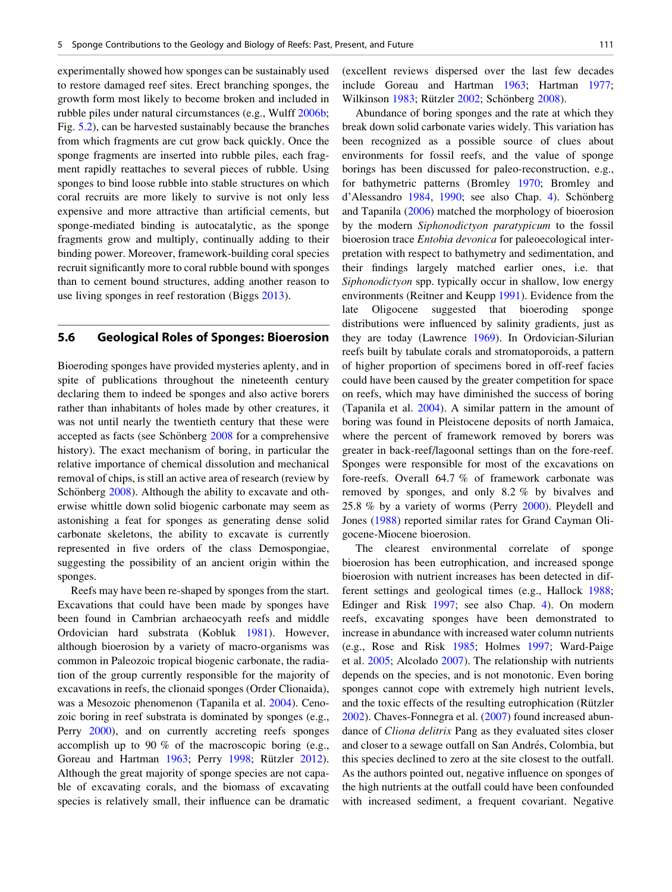<span id="page-8-0"></span>experimentally showed how sponges can be sustainably used to restore damaged reef sites. Erect branching sponges, the growth form most likely to become broken and included in rubble piles under natural circumstances (e.g., Wulff [2006b](#page-23-0); Fig. [5.2\)](#page-6-0), can be harvested sustainably because the branches from which fragments are cut grow back quickly. Once the sponge fragments are inserted into rubble piles, each fragment rapidly reattaches to several pieces of rubble. Using sponges to bind loose rubble into stable structures on which coral recruits are more likely to survive is not only less expensive and more attractive than artificial cements, but sponge-mediated binding is autocatalytic, as the sponge fragments grow and multiply, continually adding to their binding power. Moreover, framework-building coral species recruit significantly more to coral rubble bound with sponges than to cement bound structures, adding another reason to use living sponges in reef restoration (Biggs [2013](#page-19-0)).

#### 5.6 Geological Roles of Sponges: Bioerosion

Bioeroding sponges have provided mysteries aplenty, and in spite of publications throughout the nineteenth century declaring them to indeed be sponges and also active borers rather than inhabitants of holes made by other creatures, it was not until nearly the twentieth century that these were accepted as facts (see Schönberg [2008](#page-22-0) for a comprehensive history). The exact mechanism of boring, in particular the relative importance of chemical dissolution and mechanical removal of chips, is still an active area of research (review by Schönberg [2008\)](#page-22-0). Although the ability to excavate and otherwise whittle down solid biogenic carbonate may seem as astonishing a feat for sponges as generating dense solid carbonate skeletons, the ability to excavate is currently represented in five orders of the class Demospongiae, suggesting the possibility of an ancient origin within the sponges.

Reefs may have been re-shaped by sponges from the start. Excavations that could have been made by sponges have been found in Cambrian archaeocyath reefs and middle Ordovician hard substrata (Kobluk [1981](#page-20-0)). However, although bioerosion by a variety of macro-organisms was common in Paleozoic tropical biogenic carbonate, the radiation of the group currently responsible for the majority of excavations in reefs, the clionaid sponges (Order Clionaida), was a Mesozoic phenomenon (Tapanila et al. [2004\)](#page-22-0). Cenozoic boring in reef substrata is dominated by sponges (e.g., Perry [2000\)](#page-21-0), and on currently accreting reefs sponges accomplish up to 90 % of the macroscopic boring (e.g., Goreau and Hartman [1963;](#page-20-0) Perry [1998;](#page-21-0) Rützler [2012](#page-21-0)). Although the great majority of sponge species are not capable of excavating corals, and the biomass of excavating species is relatively small, their influence can be dramatic (excellent reviews dispersed over the last few decades include Goreau and Hartman [1963](#page-20-0); Hartman [1977](#page-20-0); Wilkinson [1983;](#page-22-0) Rützler [2002;](#page-21-0) Schönberg [2008\)](#page-22-0).

Abundance of boring sponges and the rate at which they break down solid carbonate varies widely. This variation has been recognized as a possible source of clues about environments for fossil reefs, and the value of sponge borings has been discussed for paleo-reconstruction, e.g., for bathymetric patterns (Bromley [1970;](#page-19-0) Bromley and d'Alessandro [1984,](#page-19-0) [1990](#page-19-0); see also Chap. [4](http://dx.doi.org/10.1007/978-94-017-7567-0_4)). Schönberg and Tapanila ([2006\)](#page-22-0) matched the morphology of bioerosion by the modern Siphonodictyon paratypicum to the fossil bioerosion trace Entobia devonica for paleoecological interpretation with respect to bathymetry and sedimentation, and their findings largely matched earlier ones, i.e. that Siphonodictyon spp. typically occur in shallow, low energy environments (Reitner and Keupp [1991\)](#page-21-0). Evidence from the late Oligocene suggested that bioeroding sponge distributions were influenced by salinity gradients, just as they are today (Lawrence [1969](#page-20-0)). In Ordovician-Silurian reefs built by tabulate corals and stromatoporoids, a pattern of higher proportion of specimens bored in off-reef facies could have been caused by the greater competition for space on reefs, which may have diminished the success of boring (Tapanila et al. [2004](#page-22-0)). A similar pattern in the amount of boring was found in Pleistocene deposits of north Jamaica, where the percent of framework removed by borers was greater in back-reef/lagoonal settings than on the fore-reef. Sponges were responsible for most of the excavations on fore-reefs. Overall 64.7 % of framework carbonate was removed by sponges, and only 8.2 % by bivalves and 25.8 % by a variety of worms (Perry [2000](#page-21-0)). Pleydell and Jones [\(1988](#page-21-0)) reported similar rates for Grand Cayman Oligocene-Miocene bioerosion.

The clearest environmental correlate of sponge bioerosion has been eutrophication, and increased sponge bioerosion with nutrient increases has been detected in different settings and geological times (e.g., Hallock [1988](#page-20-0); Edinger and Risk [1997;](#page-20-0) see also Chap. [4](http://dx.doi.org/10.1007/978-94-017-7567-0_4)). On modern reefs, excavating sponges have been demonstrated to increase in abundance with increased water column nutrients (e.g., Rose and Risk [1985](#page-21-0); Holmes [1997](#page-20-0); Ward-Paige et al. [2005](#page-22-0); Alcolado [2007](#page-19-0)). The relationship with nutrients depends on the species, and is not monotonic. Even boring sponges cannot cope with extremely high nutrient levels, and the toxic effects of the resulting eutrophication (Rützler [2002](#page-21-0)). Chaves-Fonnegra et al. ([2007\)](#page-19-0) found increased abundance of Cliona delitrix Pang as they evaluated sites closer and closer to a sewage outfall on San Andrés, Colombia, but this species declined to zero at the site closest to the outfall. As the authors pointed out, negative influence on sponges of the high nutrients at the outfall could have been confounded with increased sediment, a frequent covariant. Negative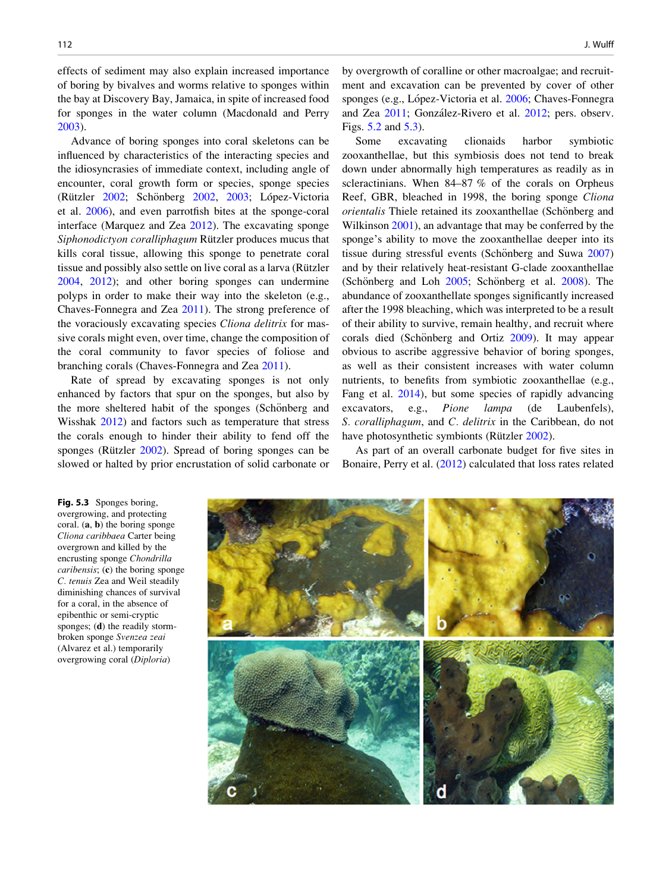<span id="page-9-0"></span>effects of sediment may also explain increased importance of boring by bivalves and worms relative to sponges within the bay at Discovery Bay, Jamaica, in spite of increased food for sponges in the water column (Macdonald and Perry [2003\)](#page-21-0).

Advance of boring sponges into coral skeletons can be influenced by characteristics of the interacting species and the idiosyncrasies of immediate context, including angle of encounter, coral growth form or species, sponge species (Rützler [2002](#page-21-0); Schönberg [2002,](#page-22-0) [2003;](#page-22-0) López-Victoria et al. [2006](#page-21-0)), and even parrotfish bites at the sponge-coral interface (Marquez and Zea [2012](#page-21-0)). The excavating sponge Siphonodictyon coralliphagum Rützler produces mucus that kills coral tissue, allowing this sponge to penetrate coral tissue and possibly also settle on live coral as a larva (Rützler [2004,](#page-21-0) [2012](#page-21-0)); and other boring sponges can undermine polyps in order to make their way into the skeleton (e.g., Chaves-Fonnegra and Zea [2011](#page-19-0)). The strong preference of the voraciously excavating species Cliona delitrix for massive corals might even, over time, change the composition of the coral community to favor species of foliose and branching corals (Chaves-Fonnegra and Zea [2011](#page-19-0)).

Rate of spread by excavating sponges is not only enhanced by factors that spur on the sponges, but also by the more sheltered habit of the sponges (Schönberg and Wisshak [2012](#page-22-0)) and factors such as temperature that stress the corals enough to hinder their ability to fend off the sponges (Rützler [2002](#page-21-0)). Spread of boring sponges can be slowed or halted by prior encrustation of solid carbonate or by overgrowth of coralline or other macroalgae; and recruitment and excavation can be prevented by cover of other sponges (e.g., López-Victoria et al. [2006](#page-21-0); Chaves-Fonnegra and Zea [2011;](#page-19-0) González-Rivero et al. [2012](#page-20-0); pers. observ. Figs. [5.2](#page-6-0) and 5.3).

Some excavating clionaids harbor symbiotic zooxanthellae, but this symbiosis does not tend to break down under abnormally high temperatures as readily as in scleractinians. When 84–87 % of the corals on Orpheus Reef, GBR, bleached in 1998, the boring sponge Cliona orientalis Thiele retained its zooxanthellae (Schönberg and Wilkinson [2001](#page-22-0)), an advantage that may be conferred by the sponge's ability to move the zooxanthellae deeper into its tissue during stressful events (Schönberg and Suwa [2007\)](#page-22-0) and by their relatively heat-resistant G-clade zooxanthellae (Schönberg and Loh  $2005$ ; Schönberg et al.  $2008$ ). The abundance of zooxanthellate sponges significantly increased after the 1998 bleaching, which was interpreted to be a result of their ability to survive, remain healthy, and recruit where corals died (Schönberg and Ortiz [2009](#page-22-0)). It may appear obvious to ascribe aggressive behavior of boring sponges, as well as their consistent increases with water column nutrients, to benefits from symbiotic zooxanthellae (e.g., Fang et al. [2014\)](#page-20-0), but some species of rapidly advancing excavators, e.g., Pione lampa (de Laubenfels), S. coralliphagum, and C. delitrix in the Caribbean, do not have photosynthetic symbionts (Rützler [2002](#page-21-0)).

As part of an overall carbonate budget for five sites in Bonaire, Perry et al. [\(2012](#page-21-0)) calculated that loss rates related

Fig. 5.3 Sponges boring, overgrowing, and protecting coral.  $(a, b)$  the boring sponge Cliona caribbaea Carter being overgrown and killed by the encrusting sponge Chondrilla caribensis; (c) the boring sponge C. tenuis Zea and Weil steadily diminishing chances of survival for a coral, in the absence of epibenthic or semi-cryptic sponges; (d) the readily stormbroken sponge Svenzea zeai (Alvarez et al.) temporarily overgrowing coral (Diploria)

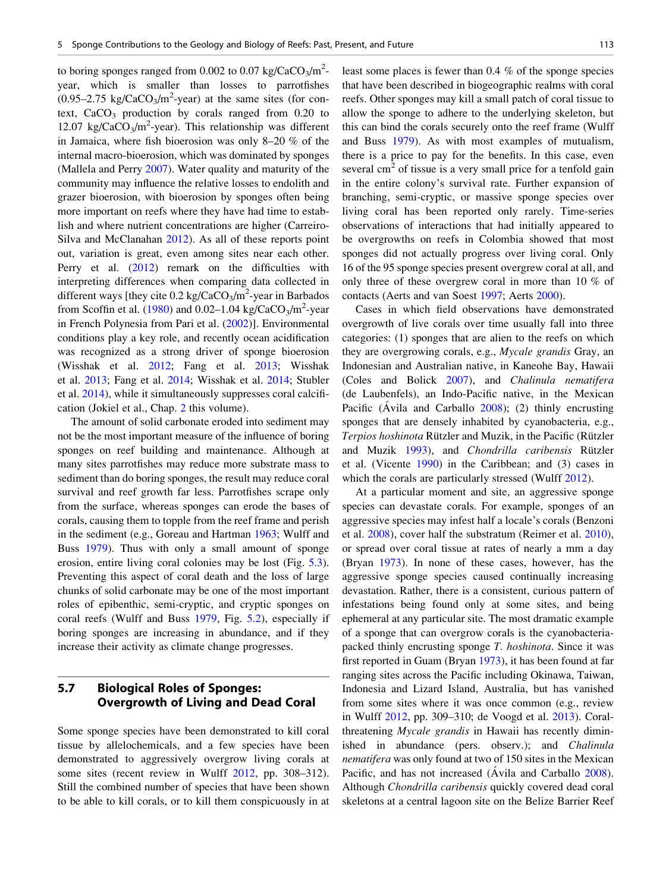to boring sponges ranged from 0.002 to 0.07 kg/CaCO<sub>3</sub>/m<sup>2</sup>year, which is smaller than losses to parrotfishes  $(0.95-2.75 \text{ kg/CaCO}_3/\text{m}^2\text{-year})$  at the same sites (for context,  $CaCO<sub>3</sub>$  production by corals ranged from 0.20 to 12.07 kg/CaCO<sub>3</sub>/m<sup>2</sup>-year). This relationship was different in Jamaica, where fish bioerosion was only 8–20 % of the internal macro-bioerosion, which was dominated by sponges (Mallela and Perry [2007\)](#page-21-0). Water quality and maturity of the community may influence the relative losses to endolith and grazer bioerosion, with bioerosion by sponges often being more important on reefs where they have had time to establish and where nutrient concentrations are higher (Carreiro-Silva and McClanahan [2012](#page-19-0)). As all of these reports point out, variation is great, even among sites near each other. Perry et al. [\(2012](#page-21-0)) remark on the difficulties with interpreting differences when comparing data collected in different ways [they cite  $0.2 \text{ kg/CaCO}_3/\text{m}^2$ -year in Barbados from Scoffin et al. [\(1980](#page-22-0)) and  $0.02-1.04 \text{ kg/CaCO}_3/\text{m}^2$ -year in French Polynesia from Pari et al. ([2002](#page-21-0))]. Environmental conditions play a key role, and recently ocean acidification was recognized as a strong driver of sponge bioerosion (Wisshak et al. [2012;](#page-23-0) Fang et al. [2013](#page-20-0); Wisshak et al. [2013;](#page-23-0) Fang et al. [2014;](#page-20-0) Wisshak et al. [2014;](#page-23-0) Stubler et al. [2014\)](#page-22-0), while it simultaneously suppresses coral calcification (Jokiel et al., Chap. [2](http://dx.doi.org/10.1007/978-94-017-7567-0_2) this volume).

The amount of solid carbonate eroded into sediment may not be the most important measure of the influence of boring sponges on reef building and maintenance. Although at many sites parrotfishes may reduce more substrate mass to sediment than do boring sponges, the result may reduce coral survival and reef growth far less. Parrotfishes scrape only from the surface, whereas sponges can erode the bases of corals, causing them to topple from the reef frame and perish in the sediment (e.g., Goreau and Hartman [1963](#page-20-0); Wulff and Buss [1979\)](#page-23-0). Thus with only a small amount of sponge erosion, entire living coral colonies may be lost (Fig. [5.3](#page-9-0)). Preventing this aspect of coral death and the loss of large chunks of solid carbonate may be one of the most important roles of epibenthic, semi-cryptic, and cryptic sponges on coral reefs (Wulff and Buss [1979](#page-23-0), Fig. [5.2\)](#page-6-0), especially if boring sponges are increasing in abundance, and if they increase their activity as climate change progresses.

# 5.7 Biological Roles of Sponges: Overgrowth of Living and Dead Coral

Some sponge species have been demonstrated to kill coral tissue by allelochemicals, and a few species have been demonstrated to aggressively overgrow living corals at some sites (recent review in Wulff [2012](#page-23-0), pp. 308–312). Still the combined number of species that have been shown to be able to kill corals, or to kill them conspicuously in at least some places is fewer than 0.4 % of the sponge species that have been described in biogeographic realms with coral reefs. Other sponges may kill a small patch of coral tissue to allow the sponge to adhere to the underlying skeleton, but this can bind the corals securely onto the reef frame (Wulff and Buss [1979\)](#page-23-0). As with most examples of mutualism, there is a price to pay for the benefits. In this case, even several  $\text{cm}^2$  of tissue is a very small price for a tenfold gain in the entire colony's survival rate. Further expansion of branching, semi-cryptic, or massive sponge species over living coral has been reported only rarely. Time-series observations of interactions that had initially appeared to be overgrowths on reefs in Colombia showed that most sponges did not actually progress over living coral. Only 16 of the 95 sponge species present overgrew coral at all, and only three of these overgrew coral in more than 10 % of contacts (Aerts and van Soest [1997;](#page-19-0) Aerts [2000\)](#page-19-0).

Cases in which field observations have demonstrated overgrowth of live corals over time usually fall into three categories: (1) sponges that are alien to the reefs on which they are overgrowing corals, e.g., Mycale grandis Gray, an Indonesian and Australian native, in Kaneohe Bay, Hawaii (Coles and Bolick [2007\)](#page-19-0), and Chalinula nematifera (de Laubenfels), an Indo-Pacific native, in the Mexican Pacific (Ávila and Carballo  $2008$ ); (2) thinly encrusting sponges that are densely inhabited by cyanobacteria, e.g., Terpios hoshinota Rützler and Muzik, in the Pacific (Rützler and Muzik [1993](#page-21-0)), and Chondrilla caribensis Rützler et al. (Vicente [1990\)](#page-22-0) in the Caribbean; and (3) cases in which the corals are particularly stressed (Wulff [2012\)](#page-23-0).

At a particular moment and site, an aggressive sponge species can devastate corals. For example, sponges of an aggressive species may infest half a locale's corals (Benzoni et al. [2008](#page-19-0)), cover half the substratum (Reimer et al. [2010](#page-21-0)), or spread over coral tissue at rates of nearly a mm a day (Bryan [1973\)](#page-19-0). In none of these cases, however, has the aggressive sponge species caused continually increasing devastation. Rather, there is a consistent, curious pattern of infestations being found only at some sites, and being ephemeral at any particular site. The most dramatic example of a sponge that can overgrow corals is the cyanobacteriapacked thinly encrusting sponge T. hoshinota. Since it was first reported in Guam (Bryan [1973](#page-19-0)), it has been found at far ranging sites across the Pacific including Okinawa, Taiwan, Indonesia and Lizard Island, Australia, but has vanished from some sites where it was once common (e.g., review in Wulff [2012](#page-23-0), pp. 309–310; de Voogd et al. [2013\)](#page-20-0). Coralthreatening Mycale grandis in Hawaii has recently diminished in abundance (pers. observ.); and *Chalinula* nematifera was only found at two of 150 sites in the Mexican Pacific, and has not increased (Avila and Carballo [2008](#page-19-0)). Although Chondrilla caribensis quickly covered dead coral skeletons at a central lagoon site on the Belize Barrier Reef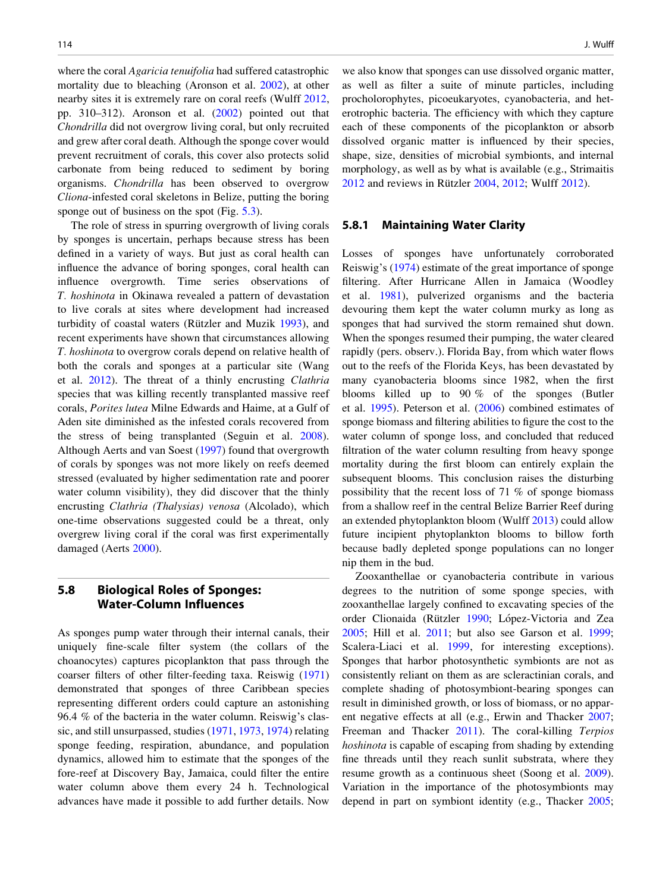where the coral Agaricia tenuifolia had suffered catastrophic mortality due to bleaching (Aronson et al. [2002\)](#page-19-0), at other nearby sites it is extremely rare on coral reefs (Wulff [2012](#page-23-0), pp. 310–312). Aronson et al. [\(2002](#page-19-0)) pointed out that Chondrilla did not overgrow living coral, but only recruited and grew after coral death. Although the sponge cover would prevent recruitment of corals, this cover also protects solid carbonate from being reduced to sediment by boring organisms. Chondrilla has been observed to overgrow Cliona-infested coral skeletons in Belize, putting the boring sponge out of business on the spot (Fig. [5.3\)](#page-9-0).

The role of stress in spurring overgrowth of living corals by sponges is uncertain, perhaps because stress has been defined in a variety of ways. But just as coral health can influence the advance of boring sponges, coral health can influence overgrowth. Time series observations of T. hoshinota in Okinawa revealed a pattern of devastation to live corals at sites where development had increased turbidity of coastal waters (Rützler and Muzik [1993\)](#page-21-0), and recent experiments have shown that circumstances allowing T. hoshinota to overgrow corals depend on relative health of both the corals and sponges at a particular site (Wang et al. [2012\)](#page-22-0). The threat of a thinly encrusting Clathria species that was killing recently transplanted massive reef corals, Porites lutea Milne Edwards and Haime, at a Gulf of Aden site diminished as the infested corals recovered from the stress of being transplanted (Seguin et al. [2008](#page-22-0)). Although Aerts and van Soest ([1997\)](#page-19-0) found that overgrowth of corals by sponges was not more likely on reefs deemed stressed (evaluated by higher sedimentation rate and poorer water column visibility), they did discover that the thinly encrusting Clathria (Thalysias) venosa (Alcolado), which one-time observations suggested could be a threat, only overgrew living coral if the coral was first experimentally damaged (Aerts [2000\)](#page-19-0).

## 5.8 Biological Roles of Sponges: Water-Column Influences

As sponges pump water through their internal canals, their uniquely fine-scale filter system (the collars of the choanocytes) captures picoplankton that pass through the coarser filters of other filter-feeding taxa. Reiswig ([1971\)](#page-21-0) demonstrated that sponges of three Caribbean species representing different orders could capture an astonishing 96.4 % of the bacteria in the water column. Reiswig's classic, and still unsurpassed, studies ([1971,](#page-21-0) [1973](#page-21-0), [1974\)](#page-21-0) relating sponge feeding, respiration, abundance, and population dynamics, allowed him to estimate that the sponges of the fore-reef at Discovery Bay, Jamaica, could filter the entire water column above them every 24 h. Technological advances have made it possible to add further details. Now

we also know that sponges can use dissolved organic matter, as well as filter a suite of minute particles, including procholorophytes, picoeukaryotes, cyanobacteria, and heterotrophic bacteria. The efficiency with which they capture each of these components of the picoplankton or absorb dissolved organic matter is influenced by their species, shape, size, densities of microbial symbionts, and internal morphology, as well as by what is available (e.g., Strimaitis [2012](#page-22-0) and reviews in Rützler [2004](#page-21-0), [2012](#page-21-0); Wulff [2012\)](#page-23-0).

#### 5.8.1 Maintaining Water Clarity

Losses of sponges have unfortunately corroborated Reiswig's ([1974\)](#page-21-0) estimate of the great importance of sponge filtering. After Hurricane Allen in Jamaica (Woodley et al. [1981](#page-23-0)), pulverized organisms and the bacteria devouring them kept the water column murky as long as sponges that had survived the storm remained shut down. When the sponges resumed their pumping, the water cleared rapidly (pers. observ.). Florida Bay, from which water flows out to the reefs of the Florida Keys, has been devastated by many cyanobacteria blooms since 1982, when the first blooms killed up to 90 % of the sponges (Butler et al. [1995](#page-19-0)). Peterson et al. [\(2006](#page-21-0)) combined estimates of sponge biomass and filtering abilities to figure the cost to the water column of sponge loss, and concluded that reduced filtration of the water column resulting from heavy sponge mortality during the first bloom can entirely explain the subsequent blooms. This conclusion raises the disturbing possibility that the recent loss of 71 % of sponge biomass from a shallow reef in the central Belize Barrier Reef during an extended phytoplankton bloom (Wulff [2013\)](#page-23-0) could allow future incipient phytoplankton blooms to billow forth because badly depleted sponge populations can no longer nip them in the bud.

Zooxanthellae or cyanobacteria contribute in various degrees to the nutrition of some sponge species, with zooxanthellae largely confined to excavating species of the order Clionaida (Rützler [1990](#page-21-0); López-Victoria and Zea [2005](#page-21-0); Hill et al. [2011;](#page-20-0) but also see Garson et al. [1999](#page-20-0); Scalera-Liaci et al. [1999,](#page-21-0) for interesting exceptions). Sponges that harbor photosynthetic symbionts are not as consistently reliant on them as are scleractinian corals, and complete shading of photosymbiont-bearing sponges can result in diminished growth, or loss of biomass, or no apparent negative effects at all (e.g., Erwin and Thacker [2007](#page-20-0); Freeman and Thacker [2011](#page-20-0)). The coral-killing Terpios hoshinota is capable of escaping from shading by extending fine threads until they reach sunlit substrata, where they resume growth as a continuous sheet (Soong et al. [2009](#page-22-0)). Variation in the importance of the photosymbionts may depend in part on symbiont identity (e.g., Thacker [2005](#page-22-0);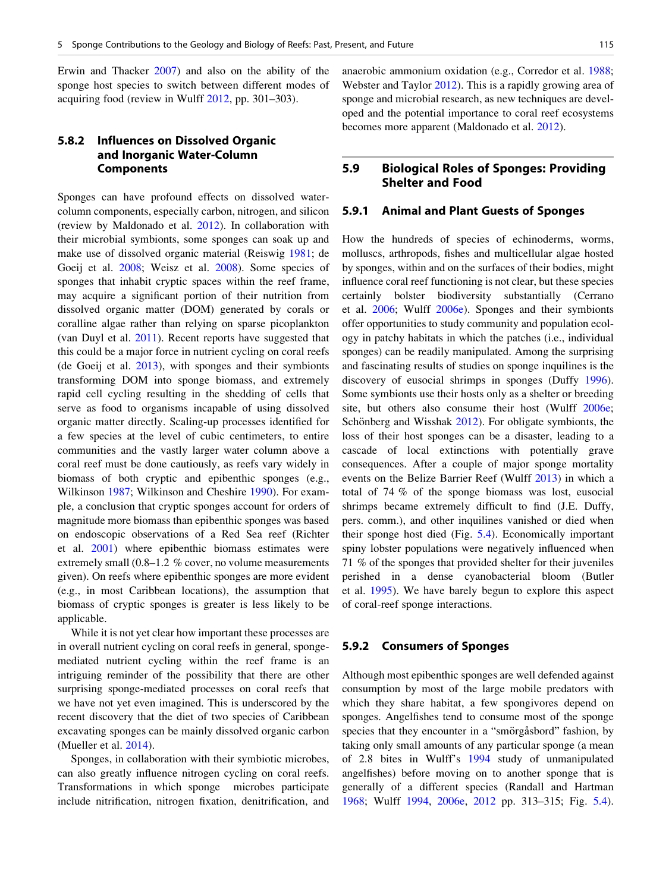Erwin and Thacker [2007\)](#page-20-0) and also on the ability of the sponge host species to switch between different modes of acquiring food (review in Wulff [2012](#page-23-0), pp. 301–303).

# 5.8.2 Influences on Dissolved Organic and Inorganic Water-Column Components

Sponges can have profound effects on dissolved watercolumn components, especially carbon, nitrogen, and silicon (review by Maldonado et al. [2012\)](#page-21-0). In collaboration with their microbial symbionts, some sponges can soak up and make use of dissolved organic material (Reiswig [1981](#page-21-0); de Goeij et al. [2008;](#page-19-0) Weisz et al. [2008\)](#page-22-0). Some species of sponges that inhabit cryptic spaces within the reef frame, may acquire a significant portion of their nutrition from dissolved organic matter (DOM) generated by corals or coralline algae rather than relying on sparse picoplankton (van Duyl et al. [2011\)](#page-22-0). Recent reports have suggested that this could be a major force in nutrient cycling on coral reefs (de Goeij et al. [2013](#page-20-0)), with sponges and their symbionts transforming DOM into sponge biomass, and extremely rapid cell cycling resulting in the shedding of cells that serve as food to organisms incapable of using dissolved organic matter directly. Scaling-up processes identified for a few species at the level of cubic centimeters, to entire communities and the vastly larger water column above a coral reef must be done cautiously, as reefs vary widely in biomass of both cryptic and epibenthic sponges (e.g., Wilkinson [1987;](#page-22-0) Wilkinson and Cheshire [1990\)](#page-22-0). For example, a conclusion that cryptic sponges account for orders of magnitude more biomass than epibenthic sponges was based on endoscopic observations of a Red Sea reef (Richter et al. [2001\)](#page-21-0) where epibenthic biomass estimates were extremely small (0.8–1.2 % cover, no volume measurements given). On reefs where epibenthic sponges are more evident (e.g., in most Caribbean locations), the assumption that biomass of cryptic sponges is greater is less likely to be applicable.

While it is not yet clear how important these processes are in overall nutrient cycling on coral reefs in general, spongemediated nutrient cycling within the reef frame is an intriguing reminder of the possibility that there are other surprising sponge-mediated processes on coral reefs that we have not yet even imagined. This is underscored by the recent discovery that the diet of two species of Caribbean excavating sponges can be mainly dissolved organic carbon (Mueller et al. [2014](#page-21-0)).

Sponges, in collaboration with their symbiotic microbes, can also greatly influence nitrogen cycling on coral reefs. Transformations in which sponge microbes participate include nitrification, nitrogen fixation, denitrification, and anaerobic ammonium oxidation (e.g., Corredor et al. [1988](#page-19-0); Webster and Taylor [2012](#page-22-0)). This is a rapidly growing area of sponge and microbial research, as new techniques are developed and the potential importance to coral reef ecosystems becomes more apparent (Maldonado et al. [2012](#page-21-0)).

## 5.9 Biological Roles of Sponges: Providing Shelter and Food

#### 5.9.1 Animal and Plant Guests of Sponges

How the hundreds of species of echinoderms, worms, molluscs, arthropods, fishes and multicellular algae hosted by sponges, within and on the surfaces of their bodies, might influence coral reef functioning is not clear, but these species certainly bolster biodiversity substantially (Cerrano et al. [2006](#page-19-0); Wulff [2006e](#page-23-0)). Sponges and their symbionts offer opportunities to study community and population ecology in patchy habitats in which the patches (i.e., individual sponges) can be readily manipulated. Among the surprising and fascinating results of studies on sponge inquilines is the discovery of eusocial shrimps in sponges (Duffy [1996](#page-20-0)). Some symbionts use their hosts only as a shelter or breeding site, but others also consume their host (Wulff [2006e](#page-23-0); Schönberg and Wisshak  $2012$ ). For obligate symbionts, the loss of their host sponges can be a disaster, leading to a cascade of local extinctions with potentially grave consequences. After a couple of major sponge mortality events on the Belize Barrier Reef (Wulff [2013](#page-23-0)) in which a total of 74 % of the sponge biomass was lost, eusocial shrimps became extremely difficult to find (J.E. Duffy, pers. comm.), and other inquilines vanished or died when their sponge host died (Fig. [5.4\)](#page-13-0). Economically important spiny lobster populations were negatively influenced when 71 % of the sponges that provided shelter for their juveniles perished in a dense cyanobacterial bloom (Butler et al. [1995\)](#page-19-0). We have barely begun to explore this aspect of coral-reef sponge interactions.

#### 5.9.2 Consumers of Sponges

Although most epibenthic sponges are well defended against consumption by most of the large mobile predators with which they share habitat, a few spongivores depend on sponges. Angelfishes tend to consume most of the sponge species that they encounter in a "smörgåsbord" fashion, by taking only small amounts of any particular sponge (a mean of 2.8 bites in Wulff's [1994](#page-23-0) study of unmanipulated angelfishes) before moving on to another sponge that is generally of a different species (Randall and Hartman [1968](#page-21-0); Wulff [1994](#page-23-0), [2006e](#page-23-0), [2012](#page-23-0) pp. 313–315; Fig. [5.4](#page-13-0)).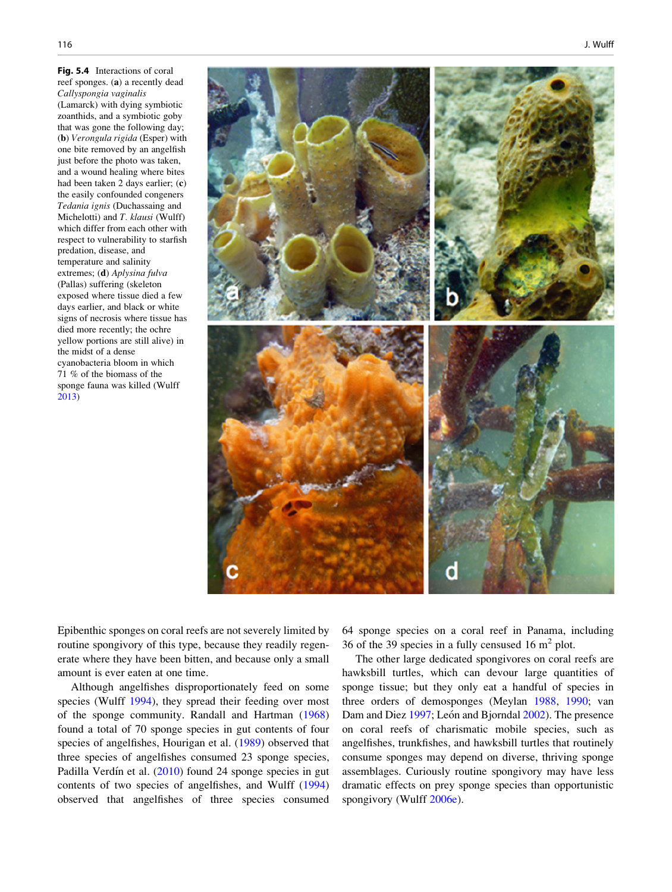<span id="page-13-0"></span>Fig. 5.4 Interactions of coral reef sponges. (a) a recently dead Callyspongia vaginalis

(Lamarck) with dying symbiotic zoanthids, and a symbiotic goby that was gone the following day; (b) Verongula rigida (Esper) with one bite removed by an angelfish just before the photo was taken, and a wound healing where bites had been taken 2 days earlier; (c) the easily confounded congeners Tedania ignis (Duchassaing and Michelotti) and T. klausi (Wulff) which differ from each other with respect to vulnerability to starfish predation, disease, and temperature and salinity extremes; (d) Aplysina fulva (Pallas) suffering (skeleton exposed where tissue died a few days earlier, and black or white signs of necrosis where tissue has died more recently; the ochre yellow portions are still alive) in the midst of a dense cyanobacteria bloom in which 71 % of the biomass of the sponge fauna was killed (Wulff [2013\)](#page-23-0)



Epibenthic sponges on coral reefs are not severely limited by routine spongivory of this type, because they readily regenerate where they have been bitten, and because only a small amount is ever eaten at one time.

Although angelfishes disproportionately feed on some species (Wulff [1994\)](#page-23-0), they spread their feeding over most of the sponge community. Randall and Hartman ([1968\)](#page-21-0) found a total of 70 sponge species in gut contents of four species of angelfishes, Hourigan et al. [\(1989](#page-20-0)) observed that three species of angelfishes consumed 23 sponge species, Padilla Verdín et al. [\(2010](#page-21-0)) found 24 sponge species in gut contents of two species of angelfishes, and Wulff ([1994\)](#page-23-0) observed that angelfishes of three species consumed 64 sponge species on a coral reef in Panama, including 36 of the 39 species in a fully censused  $16 \text{ m}^2$  plot.

The other large dedicated spongivores on coral reefs are hawksbill turtles, which can devour large quantities of sponge tissue; but they only eat a handful of species in three orders of demosponges (Meylan [1988](#page-21-0), [1990](#page-21-0); van Dam and Diez [1997](#page-22-0); León and Bjorndal [2002\)](#page-20-0). The presence on coral reefs of charismatic mobile species, such as angelfishes, trunkfishes, and hawksbill turtles that routinely consume sponges may depend on diverse, thriving sponge assemblages. Curiously routine spongivory may have less dramatic effects on prey sponge species than opportunistic spongivory (Wulff [2006e](#page-23-0)).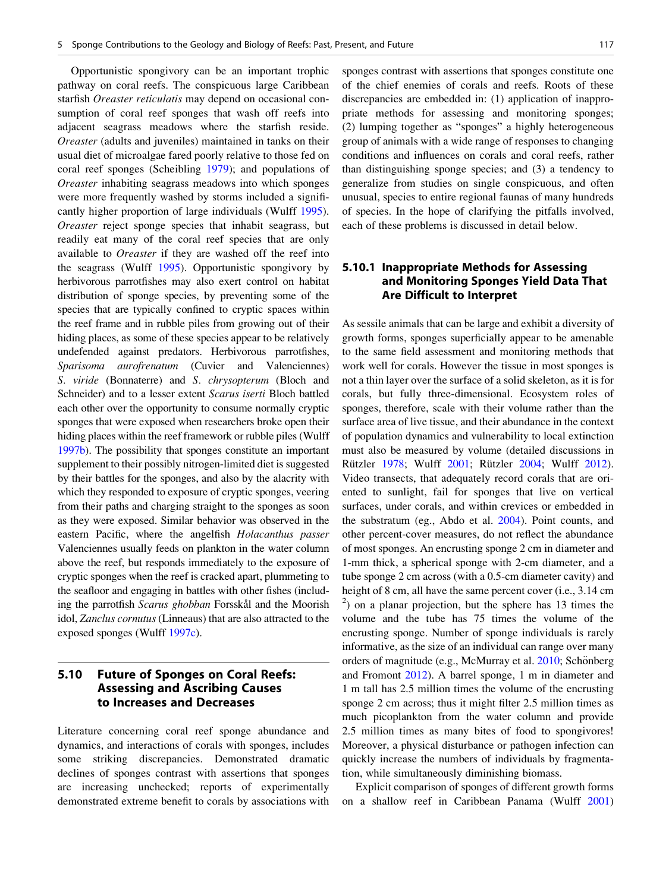Opportunistic spongivory can be an important trophic pathway on coral reefs. The conspicuous large Caribbean starfish Oreaster reticulatis may depend on occasional consumption of coral reef sponges that wash off reefs into adjacent seagrass meadows where the starfish reside. Oreaster (adults and juveniles) maintained in tanks on their usual diet of microalgae fared poorly relative to those fed on coral reef sponges (Scheibling [1979\)](#page-21-0); and populations of Oreaster inhabiting seagrass meadows into which sponges were more frequently washed by storms included a significantly higher proportion of large individuals (Wulff [1995](#page-23-0)). Oreaster reject sponge species that inhabit seagrass, but readily eat many of the coral reef species that are only available to Oreaster if they are washed off the reef into the seagrass (Wulff [1995\)](#page-23-0). Opportunistic spongivory by herbivorous parrotfishes may also exert control on habitat distribution of sponge species, by preventing some of the species that are typically confined to cryptic spaces within the reef frame and in rubble piles from growing out of their hiding places, as some of these species appear to be relatively undefended against predators. Herbivorous parrotfishes, Sparisoma aurofrenatum (Cuvier and Valenciennes) S. viride (Bonnaterre) and S. chrysopterum (Bloch and Schneider) and to a lesser extent Scarus iserti Bloch battled each other over the opportunity to consume normally cryptic sponges that were exposed when researchers broke open their hiding places within the reef framework or rubble piles (Wulff [1997b](#page-23-0)). The possibility that sponges constitute an important supplement to their possibly nitrogen-limited diet is suggested by their battles for the sponges, and also by the alacrity with which they responded to exposure of cryptic sponges, veering from their paths and charging straight to the sponges as soon as they were exposed. Similar behavior was observed in the eastern Pacific, where the angelfish Holacanthus passer Valenciennes usually feeds on plankton in the water column above the reef, but responds immediately to the exposure of cryptic sponges when the reef is cracked apart, plummeting to the seafloor and engaging in battles with other fishes (including the parrotfish Scarus ghobban Forsskål and the Moorish idol, Zanclus cornutus (Linneaus) that are also attracted to the exposed sponges (Wulff [1997c](#page-23-0)).

## 5.10 Future of Sponges on Coral Reefs: Assessing and Ascribing Causes to Increases and Decreases

Literature concerning coral reef sponge abundance and dynamics, and interactions of corals with sponges, includes some striking discrepancies. Demonstrated dramatic declines of sponges contrast with assertions that sponges are increasing unchecked; reports of experimentally demonstrated extreme benefit to corals by associations with

sponges contrast with assertions that sponges constitute one of the chief enemies of corals and reefs. Roots of these discrepancies are embedded in: (1) application of inappropriate methods for assessing and monitoring sponges; (2) lumping together as "sponges" a highly heterogeneous group of animals with a wide range of responses to changing conditions and influences on corals and coral reefs, rather than distinguishing sponge species; and (3) a tendency to generalize from studies on single conspicuous, and often unusual, species to entire regional faunas of many hundreds of species. In the hope of clarifying the pitfalls involved, each of these problems is discussed in detail below.

#### 5.10.1 Inappropriate Methods for Assessing and Monitoring Sponges Yield Data That Are Difficult to Interpret

As sessile animals that can be large and exhibit a diversity of growth forms, sponges superficially appear to be amenable to the same field assessment and monitoring methods that work well for corals. However the tissue in most sponges is not a thin layer over the surface of a solid skeleton, as it is for corals, but fully three-dimensional. Ecosystem roles of sponges, therefore, scale with their volume rather than the surface area of live tissue, and their abundance in the context of population dynamics and vulnerability to local extinction must also be measured by volume (detailed discussions in Rützler [1978;](#page-21-0) Wulff [2001;](#page-23-0) Rützler [2004](#page-21-0); Wulff [2012](#page-23-0)). Video transects, that adequately record corals that are oriented to sunlight, fail for sponges that live on vertical surfaces, under corals, and within crevices or embedded in the substratum (eg., Abdo et al. [2004\)](#page-19-0). Point counts, and other percent-cover measures, do not reflect the abundance of most sponges. An encrusting sponge 2 cm in diameter and 1-mm thick, a spherical sponge with 2-cm diameter, and a tube sponge 2 cm across (with a 0.5-cm diameter cavity) and height of 8 cm, all have the same percent cover (i.e., 3.14 cm 2 ) on a planar projection, but the sphere has 13 times the volume and the tube has 75 times the volume of the encrusting sponge. Number of sponge individuals is rarely informative, as the size of an individual can range over many orders of magnitude (e.g., McMurray et al. [2010](#page-21-0); Schönberg and Fromont [2012](#page-22-0)). A barrel sponge, 1 m in diameter and 1 m tall has 2.5 million times the volume of the encrusting sponge 2 cm across; thus it might filter 2.5 million times as much picoplankton from the water column and provide 2.5 million times as many bites of food to spongivores! Moreover, a physical disturbance or pathogen infection can quickly increase the numbers of individuals by fragmentation, while simultaneously diminishing biomass.

Explicit comparison of sponges of different growth forms on a shallow reef in Caribbean Panama (Wulff [2001\)](#page-23-0)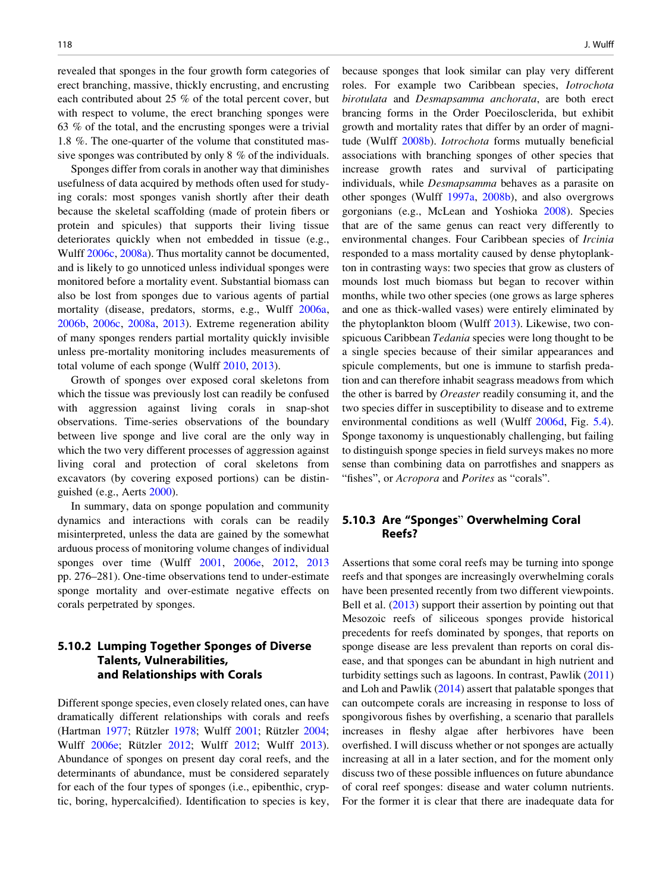revealed that sponges in the four growth form categories of erect branching, massive, thickly encrusting, and encrusting each contributed about 25 % of the total percent cover, but with respect to volume, the erect branching sponges were 63 % of the total, and the encrusting sponges were a trivial 1.8 %. The one-quarter of the volume that constituted massive sponges was contributed by only 8 % of the individuals.

Sponges differ from corals in another way that diminishes usefulness of data acquired by methods often used for studying corals: most sponges vanish shortly after their death because the skeletal scaffolding (made of protein fibers or protein and spicules) that supports their living tissue deteriorates quickly when not embedded in tissue (e.g., Wulff [2006c,](#page-23-0) [2008a\)](#page-23-0). Thus mortality cannot be documented, and is likely to go unnoticed unless individual sponges were monitored before a mortality event. Substantial biomass can also be lost from sponges due to various agents of partial mortality (disease, predators, storms, e.g., Wulff [2006a](#page-23-0), [2006b,](#page-23-0) [2006c,](#page-23-0) [2008a,](#page-23-0) [2013](#page-23-0)). Extreme regeneration ability of many sponges renders partial mortality quickly invisible unless pre-mortality monitoring includes measurements of total volume of each sponge (Wulff [2010,](#page-23-0) [2013](#page-23-0)).

Growth of sponges over exposed coral skeletons from which the tissue was previously lost can readily be confused with aggression against living corals in snap-shot observations. Time-series observations of the boundary between live sponge and live coral are the only way in which the two very different processes of aggression against living coral and protection of coral skeletons from excavators (by covering exposed portions) can be distinguished (e.g., Aerts [2000](#page-19-0)).

In summary, data on sponge population and community dynamics and interactions with corals can be readily misinterpreted, unless the data are gained by the somewhat arduous process of monitoring volume changes of individual sponges over time (Wulff [2001,](#page-23-0) [2006e,](#page-23-0) [2012,](#page-23-0) [2013](#page-23-0) pp. 276–281). One-time observations tend to under-estimate sponge mortality and over-estimate negative effects on corals perpetrated by sponges.

# 5.10.2 Lumping Together Sponges of Diverse Talents, Vulnerabilities, and Relationships with Corals

Different sponge species, even closely related ones, can have dramatically different relationships with corals and reefs (Hartman [1977](#page-20-0); Rützler [1978;](#page-21-0) Wulff [2001;](#page-23-0) Rützler [2004](#page-21-0); Wulff [2006e](#page-23-0); Rützler [2012](#page-21-0); Wulff [2012;](#page-23-0) Wulff [2013](#page-23-0)). Abundance of sponges on present day coral reefs, and the determinants of abundance, must be considered separately for each of the four types of sponges (i.e., epibenthic, cryptic, boring, hypercalcified). Identification to species is key, because sponges that look similar can play very different roles. For example two Caribbean species, Iotrochota birotulata and Desmapsamma anchorata, are both erect brancing forms in the Order Poecilosclerida, but exhibit growth and mortality rates that differ by an order of magni-tude (Wulff [2008b](#page-23-0)). *Iotrochota* forms mutually beneficial associations with branching sponges of other species that increase growth rates and survival of participating individuals, while Desmapsamma behaves as a parasite on other sponges (Wulff [1997a,](#page-23-0) [2008b\)](#page-23-0), and also overgrows gorgonians (e.g., McLean and Yoshioka [2008](#page-21-0)). Species that are of the same genus can react very differently to environmental changes. Four Caribbean species of Ircinia responded to a mass mortality caused by dense phytoplankton in contrasting ways: two species that grow as clusters of mounds lost much biomass but began to recover within months, while two other species (one grows as large spheres and one as thick-walled vases) were entirely eliminated by the phytoplankton bloom (Wulff [2013\)](#page-23-0). Likewise, two conspicuous Caribbean Tedania species were long thought to be a single species because of their similar appearances and spicule complements, but one is immune to starfish predation and can therefore inhabit seagrass meadows from which the other is barred by Oreaster readily consuming it, and the two species differ in susceptibility to disease and to extreme environmental conditions as well (Wulff [2006d,](#page-23-0) Fig. [5.4](#page-13-0)). Sponge taxonomy is unquestionably challenging, but failing to distinguish sponge species in field surveys makes no more sense than combining data on parrotfishes and snappers as "fishes", or Acropora and Porites as "corals".

#### 5.10.3 Are "Sponges" Overwhelming Coral Reefs?

Assertions that some coral reefs may be turning into sponge reefs and that sponges are increasingly overwhelming corals have been presented recently from two different viewpoints. Bell et al. [\(2013\)](#page-19-0) support their assertion by pointing out that Mesozoic reefs of siliceous sponges provide historical precedents for reefs dominated by sponges, that reports on sponge disease are less prevalent than reports on coral disease, and that sponges can be abundant in high nutrient and turbidity settings such as lagoons. In contrast, Pawlik ([2011\)](#page-21-0) and Loh and Pawlik [\(2014](#page-20-0)) assert that palatable sponges that can outcompete corals are increasing in response to loss of spongivorous fishes by overfishing, a scenario that parallels increases in fleshy algae after herbivores have been overfished. I will discuss whether or not sponges are actually increasing at all in a later section, and for the moment only discuss two of these possible influences on future abundance of coral reef sponges: disease and water column nutrients. For the former it is clear that there are inadequate data for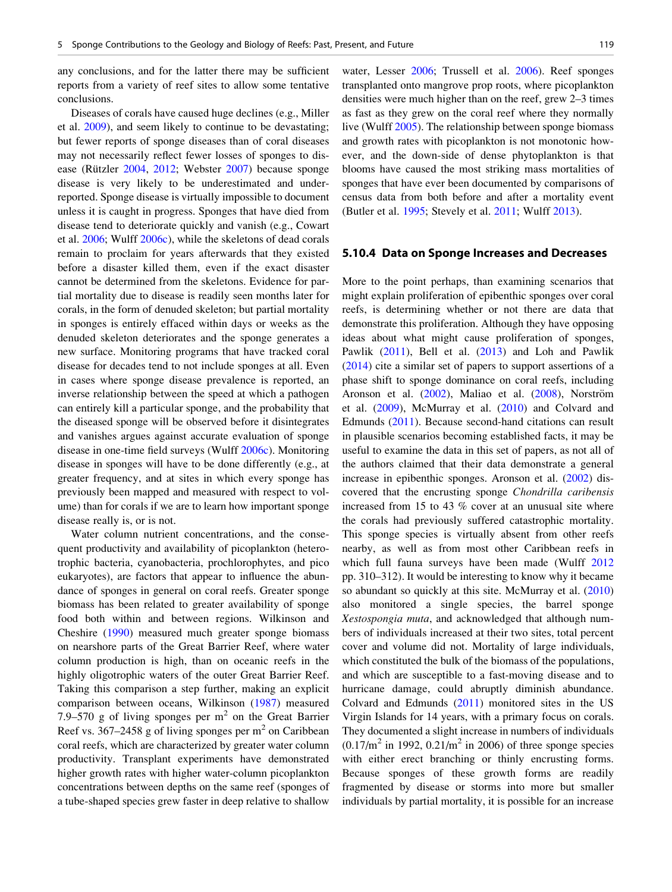any conclusions, and for the latter there may be sufficient reports from a variety of reef sites to allow some tentative conclusions.

Diseases of corals have caused huge declines (e.g., Miller et al. [2009](#page-21-0)), and seem likely to continue to be devastating; but fewer reports of sponge diseases than of coral diseases may not necessarily reflect fewer losses of sponges to disease (Rützler [2004](#page-21-0), [2012;](#page-21-0) Webster [2007](#page-22-0)) because sponge disease is very likely to be underestimated and underreported. Sponge disease is virtually impossible to document unless it is caught in progress. Sponges that have died from disease tend to deteriorate quickly and vanish (e.g., Cowart et al. [2006;](#page-19-0) Wulff [2006c\)](#page-23-0), while the skeletons of dead corals remain to proclaim for years afterwards that they existed before a disaster killed them, even if the exact disaster cannot be determined from the skeletons. Evidence for partial mortality due to disease is readily seen months later for corals, in the form of denuded skeleton; but partial mortality in sponges is entirely effaced within days or weeks as the denuded skeleton deteriorates and the sponge generates a new surface. Monitoring programs that have tracked coral disease for decades tend to not include sponges at all. Even in cases where sponge disease prevalence is reported, an inverse relationship between the speed at which a pathogen can entirely kill a particular sponge, and the probability that the diseased sponge will be observed before it disintegrates and vanishes argues against accurate evaluation of sponge disease in one-time field surveys (Wulff [2006c](#page-23-0)). Monitoring disease in sponges will have to be done differently (e.g., at greater frequency, and at sites in which every sponge has previously been mapped and measured with respect to volume) than for corals if we are to learn how important sponge disease really is, or is not.

Water column nutrient concentrations, and the consequent productivity and availability of picoplankton (heterotrophic bacteria, cyanobacteria, prochlorophytes, and pico eukaryotes), are factors that appear to influence the abundance of sponges in general on coral reefs. Greater sponge biomass has been related to greater availability of sponge food both within and between regions. Wilkinson and Cheshire ([1990\)](#page-22-0) measured much greater sponge biomass on nearshore parts of the Great Barrier Reef, where water column production is high, than on oceanic reefs in the highly oligotrophic waters of the outer Great Barrier Reef. Taking this comparison a step further, making an explicit comparison between oceans, Wilkinson [\(1987](#page-22-0)) measured 7.9–570 g of living sponges per  $m<sup>2</sup>$  on the Great Barrier Reef vs. 367–2458 g of living sponges per  $m<sup>2</sup>$  on Caribbean coral reefs, which are characterized by greater water column productivity. Transplant experiments have demonstrated higher growth rates with higher water-column picoplankton concentrations between depths on the same reef (sponges of a tube-shaped species grew faster in deep relative to shallow

water, Lesser [2006](#page-20-0); Trussell et al. [2006](#page-22-0)). Reef sponges transplanted onto mangrove prop roots, where picoplankton densities were much higher than on the reef, grew 2–3 times as fast as they grew on the coral reef where they normally live (Wulff [2005](#page-23-0)). The relationship between sponge biomass and growth rates with picoplankton is not monotonic however, and the down-side of dense phytoplankton is that blooms have caused the most striking mass mortalities of sponges that have ever been documented by comparisons of census data from both before and after a mortality event (Butler et al. [1995](#page-19-0); Stevely et al. [2011](#page-22-0); Wulff [2013](#page-23-0)).

#### 5.10.4 Data on Sponge Increases and Decreases

More to the point perhaps, than examining scenarios that might explain proliferation of epibenthic sponges over coral reefs, is determining whether or not there are data that demonstrate this proliferation. Although they have opposing ideas about what might cause proliferation of sponges, Pawlik [\(2011](#page-21-0)), Bell et al. ([2013\)](#page-19-0) and Loh and Pawlik ([2014\)](#page-20-0) cite a similar set of papers to support assertions of a phase shift to sponge dominance on coral reefs, including Aronson et al. ([2002\)](#page-19-0), Maliao et al. [\(2008](#page-21-0)), Norström et al. [\(2009](#page-21-0)), McMurray et al. [\(2010](#page-21-0)) and Colvard and Edmunds ([2011\)](#page-19-0). Because second-hand citations can result in plausible scenarios becoming established facts, it may be useful to examine the data in this set of papers, as not all of the authors claimed that their data demonstrate a general increase in epibenthic sponges. Aronson et al. [\(2002](#page-19-0)) discovered that the encrusting sponge Chondrilla caribensis increased from 15 to 43 % cover at an unusual site where the corals had previously suffered catastrophic mortality. This sponge species is virtually absent from other reefs nearby, as well as from most other Caribbean reefs in which full fauna surveys have been made (Wulff [2012](#page-23-0) pp. 310–312). It would be interesting to know why it became so abundant so quickly at this site. McMurray et al. ([2010\)](#page-21-0) also monitored a single species, the barrel sponge Xestospongia muta, and acknowledged that although numbers of individuals increased at their two sites, total percent cover and volume did not. Mortality of large individuals, which constituted the bulk of the biomass of the populations, and which are susceptible to a fast-moving disease and to hurricane damage, could abruptly diminish abundance. Colvard and Edmunds [\(2011](#page-19-0)) monitored sites in the US Virgin Islands for 14 years, with a primary focus on corals. They documented a slight increase in numbers of individuals  $(0.17/m^2$  in 1992,  $0.21/m^2$  in 2006) of three sponge species with either erect branching or thinly encrusting forms. Because sponges of these growth forms are readily fragmented by disease or storms into more but smaller individuals by partial mortality, it is possible for an increase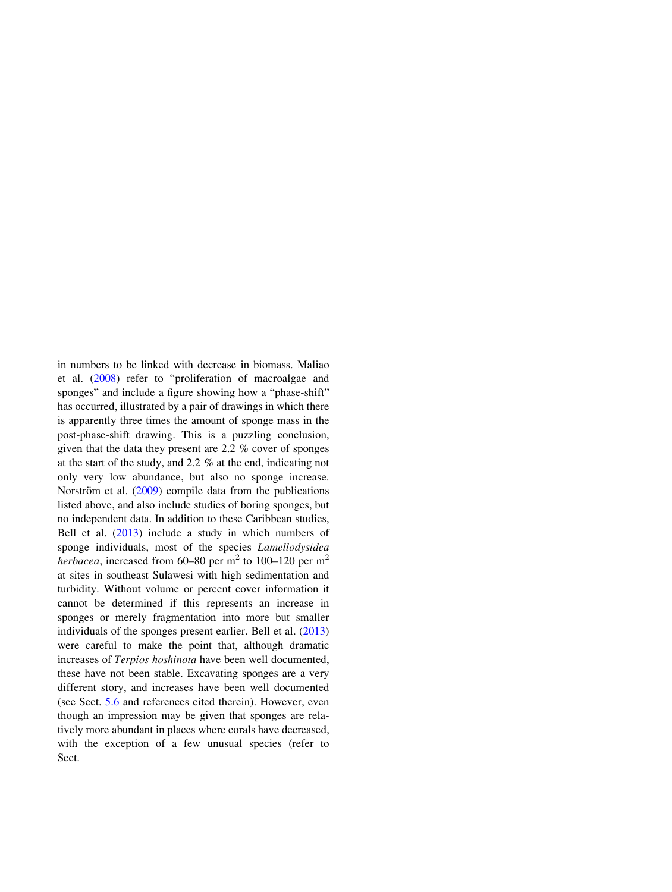in numbers to be linked with decrease in biomass. Maliao et al. [\(2008](#page-21-0)) refer to "proliferation of macroalgae and sponges" and include a figure showing how a "phase-shift" has occurred, illustrated by a pair of drawings in which there is apparently three times the amount of sponge mass in the post-phase-shift drawing. This is a puzzling conclusion, given that the data they present are 2.2 % cover of sponges at the start of the study, and 2.2 % at the end, indicating not only very low abundance, but also no sponge increase. Norström et al.  $(2009)$  $(2009)$  compile data from the publications listed above, and also include studies of boring sponges, but no independent data. In addition to these Caribbean studies, Bell et al. [\(2013](#page-19-0)) include a study in which numbers of sponge individuals, most of the species Lamellodysidea herbacea, increased from 60–80 per  $m<sup>2</sup>$  to 100–120 per  $m<sup>2</sup>$ at sites in southeast Sulawesi with high sedimentation and turbidity. Without volume or percent cover information it cannot be determined if this represents an increase in sponges or merely fragmentation into more but smaller individuals of the sponges present earlier. Bell et al. ([2013\)](#page-19-0) were careful to make the point that, although dramatic increases of Terpios hoshinota have been well documented, these have not been stable. Excavating sponges are a very different story, and increases have been well documented (see Sect. [5.6](#page-8-0) and references cited therein). However, even though an impression may be given that sponges are relatively more abundant in places where corals have decreased, with the exception of a few unusual species (refer to Sect.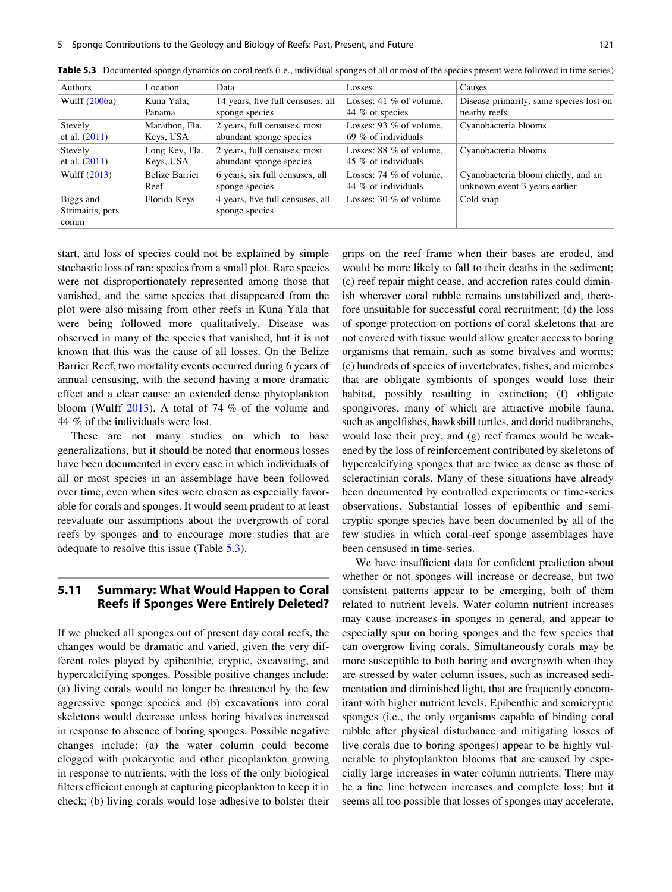abundant sponge species

sponge species

Florida Keys  $|4$  years, five full censuses, all sponge species

6 years, six full censuses, all

| <b>able 5.5</b> Documented sponge dynamics on coral reels (i.e., morvidual sponges of all or most of the species present were followed in time series) |                             |                                                         |                                                    |                                                         |  |  |
|--------------------------------------------------------------------------------------------------------------------------------------------------------|-----------------------------|---------------------------------------------------------|----------------------------------------------------|---------------------------------------------------------|--|--|
| <b>Authors</b>                                                                                                                                         | Location                    | Data                                                    | Losses                                             | Causes                                                  |  |  |
| Wulff (2006a)                                                                                                                                          | Kuna Yala,<br>Panama        | 14 years, five full censuses, all<br>sponge species     | Losses: 41 $%$ of volume,<br>44 % of species       | Disease primarily, same species lost on<br>nearby reefs |  |  |
| Stevely<br>et al. $(2011)$                                                                                                                             | Marathon, Fla.<br>Keys, USA | 2 years, full censuses, most<br>abundant sponge species | Losses: 93 $%$ of volume,<br>$69\%$ of individuals | Cyanobacteria blooms                                    |  |  |
| Stevely                                                                                                                                                | Long Key, Fla.              | 2 years, full censuses, most                            | Losses: $88\%$ of volume,                          | Cyanobacteria blooms                                    |  |  |

45 % of individuals

Losses: 74 % of volume, 44 % of individuals

Losses: 30 % of volume  $\vert$  Cold snap

Table 5.3 Documented sponge dynamics on coral reefs (i.e., individual sponges of all or most of the species present were followed in the species

start, and loss of species could not be explained by simple stochastic loss of rare species from a small plot. Rare species were not disproportionately represented among those that vanished, and the same species that disappeared from the plot were also missing from other reefs in Kuna Yala that were being followed more qualitatively. Disease was observed in many of the species that vanished, but it is not known that this was the cause of all losses. On the Belize Barrier Reef, two mortality events occurred during 6 years of annual censusing, with the second having a more dramatic effect and a clear cause: an extended dense phytoplankton bloom (Wulff [2013](#page-23-0)). A total of 74 % of the volume and 44 % of the individuals were lost.

Wulff [\(2013](#page-23-0)) Belize Barrier

Stevely et al. ([2011\)](#page-22-0)

Biggs and Strimaitis, pers comm

Reef

Keys, USA

These are not many studies on which to base generalizations, but it should be noted that enormous losses have been documented in every case in which individuals of all or most species in an assemblage have been followed over time, even when sites were chosen as especially favorable for corals and sponges. It would seem prudent to at least reevaluate our assumptions about the overgrowth of coral reefs by sponges and to encourage more studies that are adequate to resolve this issue (Table 5.3).

# 5.11 Summary: What Would Happen to Coral Reefs if Sponges Were Entirely Deleted?

If we plucked all sponges out of present day coral reefs, the changes would be dramatic and varied, given the very different roles played by epibenthic, cryptic, excavating, and hypercalcifying sponges. Possible positive changes include: (a) living corals would no longer be threatened by the few aggressive sponge species and (b) excavations into coral skeletons would decrease unless boring bivalves increased in response to absence of boring sponges. Possible negative changes include: (a) the water column could become clogged with prokaryotic and other picoplankton growing in response to nutrients, with the loss of the only biological filters efficient enough at capturing picoplankton to keep it in check; (b) living corals would lose adhesive to bolster their

grips on the reef frame when their bases are eroded, and would be more likely to fall to their deaths in the sediment; (c) reef repair might cease, and accretion rates could diminish wherever coral rubble remains unstabilized and, therefore unsuitable for successful coral recruitment; (d) the loss of sponge protection on portions of coral skeletons that are not covered with tissue would allow greater access to boring organisms that remain, such as some bivalves and worms; (e) hundreds of species of invertebrates, fishes, and microbes that are obligate symbionts of sponges would lose their habitat, possibly resulting in extinction; (f) obligate spongivores, many of which are attractive mobile fauna, such as angelfishes, hawksbill turtles, and dorid nudibranchs, would lose their prey, and (g) reef frames would be weakened by the loss of reinforcement contributed by skeletons of hypercalcifying sponges that are twice as dense as those of scleractinian corals. Many of these situations have already been documented by controlled experiments or time-series observations. Substantial losses of epibenthic and semicryptic sponge species have been documented by all of the few studies in which coral-reef sponge assemblages have been censused in time-series.

Cyanobacteria bloom chiefly, and an unknown event 3 years earlier

We have insufficient data for confident prediction about whether or not sponges will increase or decrease, but two consistent patterns appear to be emerging, both of them related to nutrient levels. Water column nutrient increases may cause increases in sponges in general, and appear to especially spur on boring sponges and the few species that can overgrow living corals. Simultaneously corals may be more susceptible to both boring and overgrowth when they are stressed by water column issues, such as increased sedimentation and diminished light, that are frequently concomitant with higher nutrient levels. Epibenthic and semicryptic sponges (i.e., the only organisms capable of binding coral rubble after physical disturbance and mitigating losses of live corals due to boring sponges) appear to be highly vulnerable to phytoplankton blooms that are caused by especially large increases in water column nutrients. There may be a fine line between increases and complete loss; but it seems all too possible that losses of sponges may accelerate,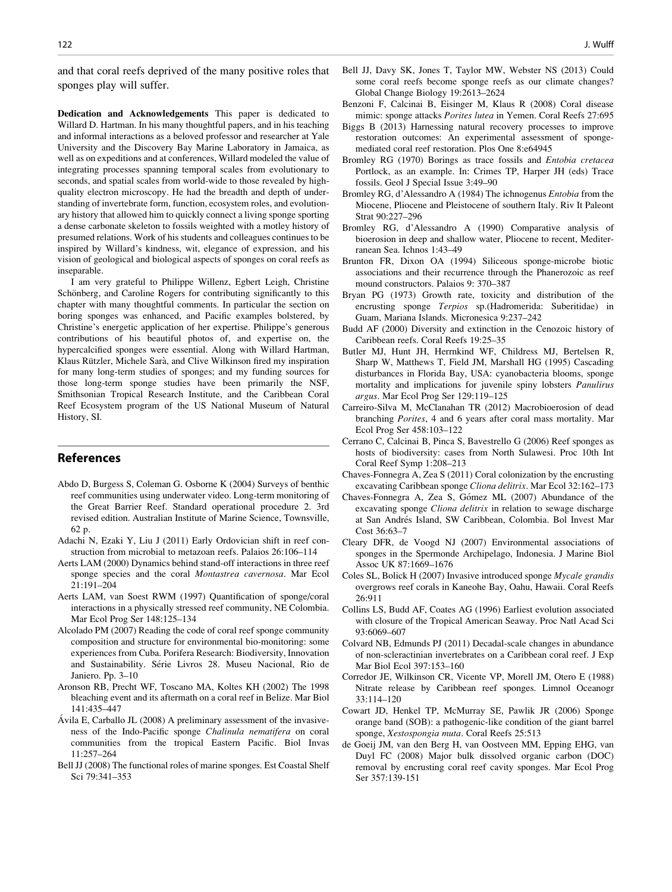<span id="page-19-0"></span>and that coral reefs deprived of the many positive roles that sponges play will suffer.

Dedication and Acknowledgements This paper is dedicated to Willard D. Hartman. In his many thoughtful papers, and in his teaching and informal interactions as a beloved professor and researcher at Yale University and the Discovery Bay Marine Laboratory in Jamaica, as well as on expeditions and at conferences, Willard modeled the value of integrating processes spanning temporal scales from evolutionary to seconds, and spatial scales from world-wide to those revealed by highquality electron microscopy. He had the breadth and depth of understanding of invertebrate form, function, ecosystem roles, and evolutionary history that allowed him to quickly connect a living sponge sporting a dense carbonate skeleton to fossils weighted with a motley history of presumed relations. Work of his students and colleagues continues to be inspired by Willard's kindness, wit, elegance of expression, and his vision of geological and biological aspects of sponges on coral reefs as inseparable.

I am very grateful to Philippe Willenz, Egbert Leigh, Christine Schönberg, and Caroline Rogers for contributing significantly to this chapter with many thoughtful comments. In particular the section on boring sponges was enhanced, and Pacific examples bolstered, by Christine's energetic application of her expertise. Philippe's generous contributions of his beautiful photos of, and expertise on, the hypercalcified sponges were essential. Along with Willard Hartman, Klaus Rützler, Michele Sara`, and Clive Wilkinson fired my inspiration for many long-term studies of sponges; and my funding sources for those long-term sponge studies have been primarily the NSF, Smithsonian Tropical Research Institute, and the Caribbean Coral Reef Ecosystem program of the US National Museum of Natural History, SI.

#### References

- Abdo D, Burgess S, Coleman G. Osborne K (2004) Surveys of benthic reef communities using underwater video. Long-term monitoring of the Great Barrier Reef. Standard operational procedure 2. 3rd revised edition. Australian Institute of Marine Science, Townsville, 62 p.
- Adachi N, Ezaki Y, Liu J (2011) Early Ordovician shift in reef construction from microbial to metazoan reefs. Palaios 26:106–114
- Aerts LAM (2000) Dynamics behind stand-off interactions in three reef sponge species and the coral Montastrea cavernosa. Mar Ecol 21:191–204
- Aerts LAM, van Soest RWM (1997) Quantification of sponge/coral interactions in a physically stressed reef community, NE Colombia. Mar Ecol Prog Ser 148:125–134
- Alcolado PM (2007) Reading the code of coral reef sponge community composition and structure for environmental bio-monitoring: some experiences from Cuba. Porifera Research: Biodiversity, Innovation and Sustainability. Série Livros 28. Museu Nacional, Rio de Janiero. Pp. 3–10
- Aronson RB, Precht WF, Toscano MA, Koltes KH (2002) The 1998 bleaching event and its aftermath on a coral reef in Belize. Mar Biol 141:435–447
- Avila E, Carballo JL (2008) A preliminary assessment of the invasiveness of the Indo-Pacific sponge Chalinula nematifera on coral communities from the tropical Eastern Pacific. Biol Invas 11:257–264
- Bell JJ (2008) The functional roles of marine sponges. Est Coastal Shelf Sci 79:341–353
- Bell JJ, Davy SK, Jones T, Taylor MW, Webster NS (2013) Could some coral reefs become sponge reefs as our climate changes? Global Change Biology 19:2613–2624
- Benzoni F, Calcinai B, Eisinger M, Klaus R (2008) Coral disease mimic: sponge attacks Porites lutea in Yemen. Coral Reefs 27:695
- Biggs B (2013) Harnessing natural recovery processes to improve restoration outcomes: An experimental assessment of spongemediated coral reef restoration. Plos One 8:e64945
- Bromley RG (1970) Borings as trace fossils and Entobia cretacea Portlock, as an example. In: Crimes TP, Harper JH (eds) Trace fossils. Geol J Special Issue 3:49–90
- Bromley RG, d'Alessandro A (1984) The ichnogenus Entobia from the Miocene, Pliocene and Pleistocene of southern Italy. Riv It Paleont Strat 90:227–296
- Bromley RG, d'Alessandro A (1990) Comparative analysis of bioerosion in deep and shallow water, Pliocene to recent, Mediterranean Sea. Ichnos 1:43–49
- Brunton FR, Dixon OA (1994) Siliceous sponge-microbe biotic associations and their recurrence through the Phanerozoic as reef mound constructors. Palaios 9: 370–387
- Bryan PG (1973) Growth rate, toxicity and distribution of the encrusting sponge Terpios sp.(Hadromerida: Suberitidae) in Guam, Mariana Islands. Micronesica 9:237–242
- Budd AF (2000) Diversity and extinction in the Cenozoic history of Caribbean reefs. Coral Reefs 19:25–35
- Butler MJ, Hunt JH, Herrnkind WF, Childress MJ, Bertelsen R, Sharp W, Matthews T, Field JM, Marshall HG (1995) Cascading disturbances in Florida Bay, USA: cyanobacteria blooms, sponge mortality and implications for juvenile spiny lobsters Panulirus argus. Mar Ecol Prog Ser 129:119–125
- Carreiro-Silva M, McClanahan TR (2012) Macrobioerosion of dead branching Porites, 4 and 6 years after coral mass mortality. Mar Ecol Prog Ser 458:103–122
- Cerrano C, Calcinai B, Pinca S, Bavestrello G (2006) Reef sponges as hosts of biodiversity: cases from North Sulawesi. Proc 10th Int Coral Reef Symp 1:208–213
- Chaves-Fonnegra A, Zea S (2011) Coral colonization by the encrusting excavating Caribbean sponge Cliona delitrix. Mar Ecol 32:162–173
- Chaves-Fonnegra A, Zea S, Gómez ML (2007) Abundance of the excavating sponge Cliona delitrix in relation to sewage discharge at San Andrés Island, SW Caribbean, Colombia. Bol Invest Mar Cost 36:63–7
- Cleary DFR, de Voogd NJ (2007) Environmental associations of sponges in the Spermonde Archipelago, Indonesia. J Marine Biol Assoc UK 87:1669–1676
- Coles SL, Bolick H (2007) Invasive introduced sponge Mycale grandis overgrows reef corals in Kaneohe Bay, Oahu, Hawaii. Coral Reefs 26:911
- Collins LS, Budd AF, Coates AG (1996) Earliest evolution associated with closure of the Tropical American Seaway. Proc Natl Acad Sci 93:6069–607
- Colvard NB, Edmunds PJ (2011) Decadal-scale changes in abundance of non-scleractinian invertebrates on a Caribbean coral reef. J Exp Mar Biol Ecol 397:153–160
- Corredor JE, Wilkinson CR, Vicente VP, Morell JM, Otero E (1988) Nitrate release by Caribbean reef sponges. Limnol Oceanogr 33:114–120
- Cowart JD, Henkel TP, McMurray SE, Pawlik JR (2006) Sponge orange band (SOB): a pathogenic-like condition of the giant barrel sponge, Xestospongia muta. Coral Reefs 25:513
- de Goeij JM, van den Berg H, van Oostveen MM, Epping EHG, van Duyl FC (2008) Major bulk dissolved organic carbon (DOC) removal by encrusting coral reef cavity sponges. Mar Ecol Prog Ser 357:139-151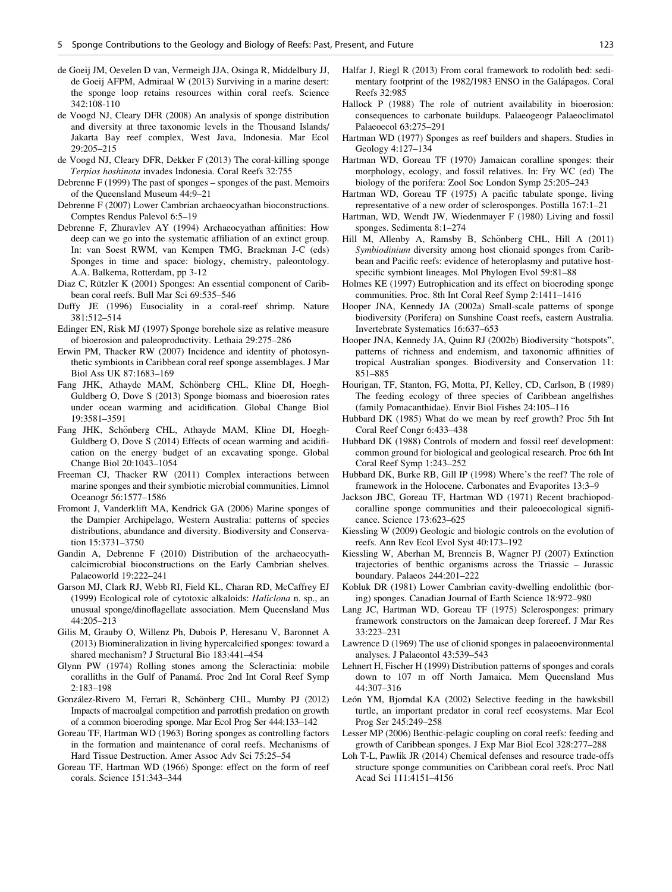- <span id="page-20-0"></span>de Goeij JM, Oevelen D van, Vermeigh JJA, Osinga R, Middelbury JJ, de Goeij AFPM, Admiraal W (2013) Surviving in a marine desert: the sponge loop retains resources within coral reefs. Science 342:108-110
- de Voogd NJ, Cleary DFR (2008) An analysis of sponge distribution and diversity at three taxonomic levels in the Thousand Islands/ Jakarta Bay reef complex, West Java, Indonesia. Mar Ecol 29:205–215
- de Voogd NJ, Cleary DFR, Dekker F (2013) The coral-killing sponge Terpios hoshinota invades Indonesia. Coral Reefs 32:755
- Debrenne F (1999) The past of sponges sponges of the past. Memoirs of the Queensland Museum 44:9–21
- Debrenne F (2007) Lower Cambrian archaeocyathan bioconstructions. Comptes Rendus Palevol 6:5–19
- Debrenne F, Zhuravlev AY (1994) Archaeocyathan affinities: How deep can we go into the systematic affiliation of an extinct group. In: van Soest RWM, van Kempen TMG, Braekman J-C (eds) Sponges in time and space: biology, chemistry, paleontology. A.A. Balkema, Rotterdam, pp 3-12
- Diaz C, Rützler K (2001) Sponges: An essential component of Caribbean coral reefs. Bull Mar Sci 69:535–546
- Duffy JE (1996) Eusociality in a coral-reef shrimp. Nature 381:512–514
- Edinger EN, Risk MJ (1997) Sponge borehole size as relative measure of bioerosion and paleoproductivity. Lethaia 29:275–286
- Erwin PM, Thacker RW (2007) Incidence and identity of photosynthetic symbionts in Caribbean coral reef sponge assemblages. J Mar Biol Ass UK 87:1683–169
- Fang JHK, Athayde MAM, Schönberg CHL, Kline DI, Hoegh-Guldberg O, Dove S (2013) Sponge biomass and bioerosion rates under ocean warming and acidification. Global Change Biol 19:3581–3591
- Fang JHK, Schönberg CHL, Athayde MAM, Kline DI, Hoegh-Guldberg O, Dove S (2014) Effects of ocean warming and acidification on the energy budget of an excavating sponge. Global Change Biol 20:1043–1054
- Freeman CJ, Thacker RW (2011) Complex interactions between marine sponges and their symbiotic microbial communities. Limnol Oceanogr 56:1577–1586
- Fromont J, Vanderklift MA, Kendrick GA (2006) Marine sponges of the Dampier Archipelago, Western Australia: patterns of species distributions, abundance and diversity. Biodiversity and Conservation 15:3731–3750
- Gandin A, Debrenne F (2010) Distribution of the archaeocyathcalcimicrobial bioconstructions on the Early Cambrian shelves. Palaeoworld 19:222–241
- Garson MJ, Clark RJ, Webb RI, Field KL, Charan RD, McCaffrey EJ (1999) Ecological role of cytotoxic alkaloids: Haliclona n. sp., an unusual sponge/dinoflagellate association. Mem Queensland Mus 44:205–213
- Gilis M, Grauby O, Willenz Ph, Dubois P, Heresanu V, Baronnet A (2013) Biomineralization in living hypercalcified sponges: toward a shared mechanism? J Structural Bio 183:441–454
- Glynn PW (1974) Rolling stones among the Scleractinia: mobile coralliths in the Gulf of Panamá. Proc 2nd Int Coral Reef Symp 2:183–198
- González-Rivero M, Ferrari R, Schönberg CHL, Mumby PJ (2012) Impacts of macroalgal competition and parrotfish predation on growth of a common bioeroding sponge. Mar Ecol Prog Ser 444:133–142
- Goreau TF, Hartman WD (1963) Boring sponges as controlling factors in the formation and maintenance of coral reefs. Mechanisms of Hard Tissue Destruction. Amer Assoc Adv Sci 75:25–54
- Goreau TF, Hartman WD (1966) Sponge: effect on the form of reef corals. Science 151:343–344
- Halfar J, Riegl R (2013) From coral framework to rodolith bed: sedimentary footprint of the 1982/1983 ENSO in the Galápagos. Coral Reefs 32:985
- Hallock P (1988) The role of nutrient availability in bioerosion: consequences to carbonate buildups. Palaeogeogr Palaeoclimatol Palaeoecol 63:275–291
- Hartman WD (1977) Sponges as reef builders and shapers. Studies in Geology 4:127–134
- Hartman WD, Goreau TF (1970) Jamaican coralline sponges: their morphology, ecology, and fossil relatives. In: Fry WC (ed) The biology of the porifera: Zool Soc London Symp 25:205–243
- Hartman WD, Goreau TF (1975) A pacific tabulate sponge, living representative of a new order of sclerosponges. Postilla 167:1–21
- Hartman, WD, Wendt JW, Wiedenmayer F (1980) Living and fossil sponges. Sedimenta 8:1–274
- Hill M, Allenby A, Ramsby B, Schönberg CHL, Hill A (2011) Symbiodinium diversity among host clionaid sponges from Caribbean and Pacific reefs: evidence of heteroplasmy and putative hostspecific symbiont lineages. Mol Phylogen Evol 59:81–88
- Holmes KE (1997) Eutrophication and its effect on bioeroding sponge communities. Proc. 8th Int Coral Reef Symp 2:1411–1416
- Hooper JNA, Kennedy JA (2002a) Small-scale patterns of sponge biodiversity (Porifera) on Sunshine Coast reefs, eastern Australia. Invertebrate Systematics 16:637–653
- Hooper JNA, Kennedy JA, Quinn RJ (2002b) Biodiversity "hotspots", patterns of richness and endemism, and taxonomic affinities of tropical Australian sponges. Biodiversity and Conservation 11: 851–885
- Hourigan, TF, Stanton, FG, Motta, PJ, Kelley, CD, Carlson, B (1989) The feeding ecology of three species of Caribbean angelfishes (family Pomacanthidae). Envir Biol Fishes 24:105–116
- Hubbard DK (1985) What do we mean by reef growth? Proc 5th Int Coral Reef Congr 6:433–438
- Hubbard DK (1988) Controls of modern and fossil reef development: common ground for biological and geological research. Proc 6th Int Coral Reef Symp 1:243–252
- Hubbard DK, Burke RB, Gill IP (1998) Where's the reef? The role of framework in the Holocene. Carbonates and Evaporites 13:3–9
- Jackson JBC, Goreau TF, Hartman WD (1971) Recent brachiopodcoralline sponge communities and their paleoecological significance. Science 173:623–625
- Kiessling W (2009) Geologic and biologic controls on the evolution of reefs. Ann Rev Ecol Evol Syst 40:173–192
- Kiessling W, Aberhan M, Brenneis B, Wagner PJ (2007) Extinction trajectories of benthic organisms across the Triassic – Jurassic boundary. Palaeos 244:201–222
- Kobluk DR (1981) Lower Cambrian cavity-dwelling endolithic (boring) sponges. Canadian Journal of Earth Science 18:972–980
- Lang JC, Hartman WD, Goreau TF (1975) Sclerosponges: primary framework constructors on the Jamaican deep forereef. J Mar Res 33:223–231
- Lawrence D (1969) The use of clionid sponges in palaeoenvironmental analyses. J Palaeontol 43:539–543
- Lehnert H, Fischer H (1999) Distribution patterns of sponges and corals down to 107 m off North Jamaica. Mem Queensland Mus 44:307–316
- León YM, Bjorndal KA (2002) Selective feeding in the hawksbill turtle, an important predator in coral reef ecosystems. Mar Ecol Prog Ser 245:249–258
- Lesser MP (2006) Benthic-pelagic coupling on coral reefs: feeding and growth of Caribbean sponges. J Exp Mar Biol Ecol 328:277–288
- Loh T-L, Pawlik JR (2014) Chemical defenses and resource trade-offs structure sponge communities on Caribbean coral reefs. Proc Natl Acad Sci 111:4151–4156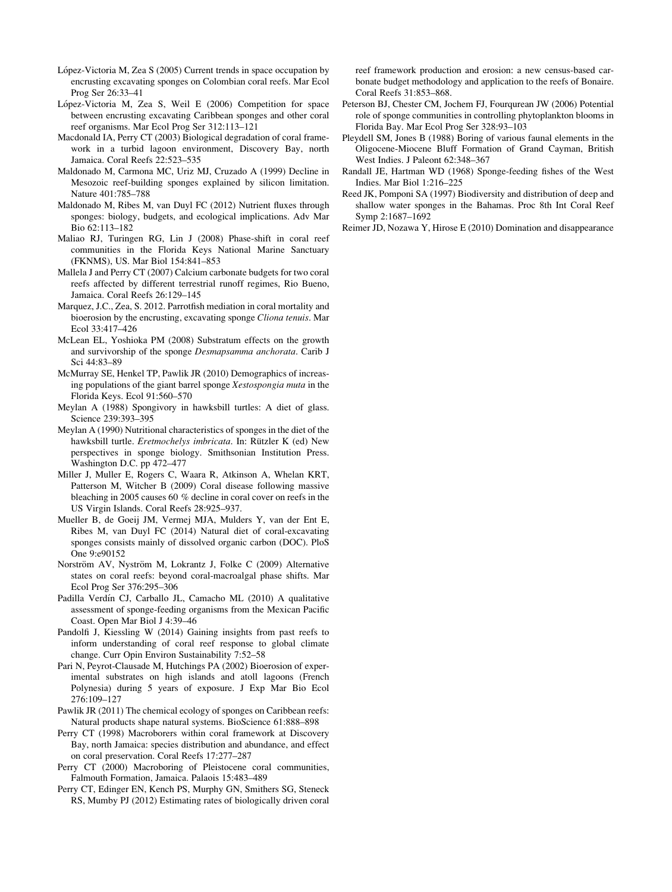- <span id="page-21-0"></span>López-Victoria M, Zea S (2005) Current trends in space occupation by encrusting excavating sponges on Colombian coral reefs. Mar Ecol Prog Ser 26:33–41
- López-Victoria M, Zea S, Weil E (2006) Competition for space between encrusting excavating Caribbean sponges and other coral reef organisms. Mar Ecol Prog Ser 312:113–121
- Macdonald IA, Perry CT (2003) Biological degradation of coral framework in a turbid lagoon environment, Discovery Bay, north Jamaica. Coral Reefs 22:523–535
- Maldonado M, Carmona MC, Uriz MJ, Cruzado A (1999) Decline in Mesozoic reef-building sponges explained by silicon limitation. Nature 401:785–788
- Maldonado M, Ribes M, van Duyl FC (2012) Nutrient fluxes through sponges: biology, budgets, and ecological implications. Adv Mar Bio 62:113–182
- Maliao RJ, Turingen RG, Lin J (2008) Phase-shift in coral reef communities in the Florida Keys National Marine Sanctuary (FKNMS), US. Mar Biol 154:841–853
- Mallela J and Perry CT (2007) Calcium carbonate budgets for two coral reefs affected by different terrestrial runoff regimes, Rio Bueno, Jamaica. Coral Reefs 26:129–145
- Marquez, J.C., Zea, S. 2012. Parrotfish mediation in coral mortality and bioerosion by the encrusting, excavating sponge Cliona tenuis. Mar Ecol 33:417–426
- McLean EL, Yoshioka PM (2008) Substratum effects on the growth and survivorship of the sponge Desmapsamma anchorata. Carib J Sci 44:83–89
- McMurray SE, Henkel TP, Pawlik JR (2010) Demographics of increasing populations of the giant barrel sponge Xestospongia muta in the Florida Keys. Ecol 91:560–570
- Meylan A (1988) Spongivory in hawksbill turtles: A diet of glass. Science 239:393–395
- Meylan A (1990) Nutritional characteristics of sponges in the diet of the hawksbill turtle. Eretmochelys imbricata. In: Rützler K (ed) New perspectives in sponge biology. Smithsonian Institution Press. Washington D.C. pp 472–477
- Miller J, Muller E, Rogers C, Waara R, Atkinson A, Whelan KRT, Patterson M, Witcher B (2009) Coral disease following massive bleaching in 2005 causes 60 % decline in coral cover on reefs in the US Virgin Islands. Coral Reefs 28:925–937.
- Mueller B, de Goeij JM, Vermej MJA, Mulders Y, van der Ent E, Ribes M, van Duyl FC (2014) Natural diet of coral-excavating sponges consists mainly of dissolved organic carbon (DOC). PloS One 9:e90152
- Norström AV, Nyström M, Lokrantz J, Folke C (2009) Alternative states on coral reefs: beyond coral-macroalgal phase shifts. Mar Ecol Prog Ser 376:295–306
- Padilla Verdín CJ, Carballo JL, Camacho ML (2010) A qualitative assessment of sponge-feeding organisms from the Mexican Pacific Coast. Open Mar Biol J 4:39–46
- Pandolfi J, Kiessling W (2014) Gaining insights from past reefs to inform understanding of coral reef response to global climate change. Curr Opin Environ Sustainability 7:52–58
- Pari N, Peyrot-Clausade M, Hutchings PA (2002) Bioerosion of experimental substrates on high islands and atoll lagoons (French Polynesia) during 5 years of exposure. J Exp Mar Bio Ecol 276:109–127
- Pawlik JR (2011) The chemical ecology of sponges on Caribbean reefs: Natural products shape natural systems. BioScience 61:888–898
- Perry CT (1998) Macroborers within coral framework at Discovery Bay, north Jamaica: species distribution and abundance, and effect on coral preservation. Coral Reefs 17:277–287
- Perry CT (2000) Macroboring of Pleistocene coral communities, Falmouth Formation, Jamaica. Palaois 15:483–489
- Perry CT, Edinger EN, Kench PS, Murphy GN, Smithers SG, Steneck RS, Mumby PJ (2012) Estimating rates of biologically driven coral

reef framework production and erosion: a new census-based carbonate budget methodology and application to the reefs of Bonaire. Coral Reefs 31:853–868.

- Peterson BJ, Chester CM, Jochem FJ, Fourqurean JW (2006) Potential role of sponge communities in controlling phytoplankton blooms in Florida Bay. Mar Ecol Prog Ser 328:93–103
- Pleydell SM, Jones B (1988) Boring of various faunal elements in the Oligocene-Miocene Bluff Formation of Grand Cayman, British West Indies. J Paleont 62:348–367
- Randall JE, Hartman WD (1968) Sponge-feeding fishes of the West Indies. Mar Biol 1:216–225
- Reed JK, Pomponi SA (1997) Biodiversity and distribution of deep and shallow water sponges in the Bahamas. Proc 8th Int Coral Reef Symp 2:1687–1692
- Reimer JD, Nozawa Y, Hirose E (2010) Domination and disappearance of the black sponge: a quartern For18D9e2:1687-1692of deep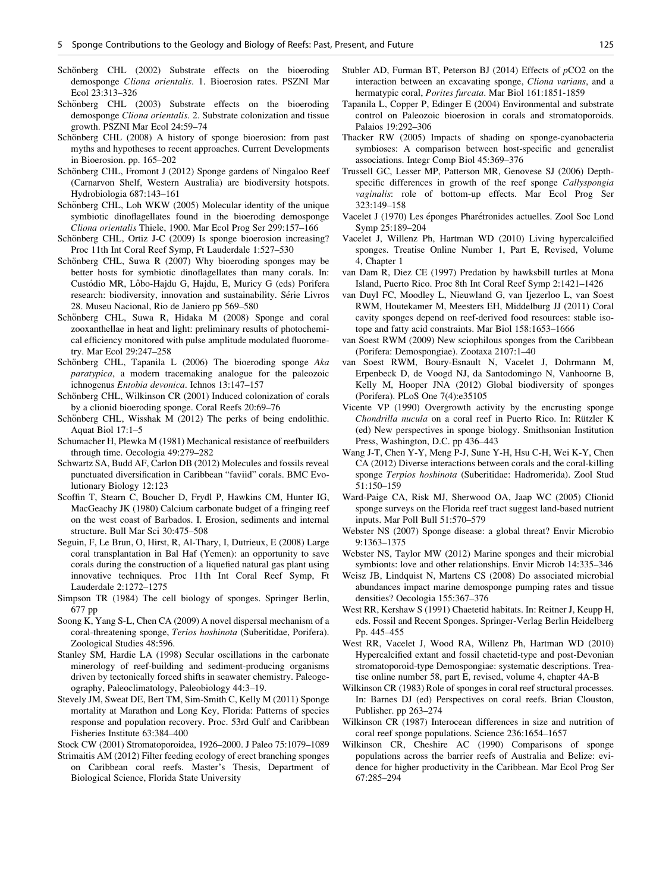- <span id="page-22-0"></span>Schönberg CHL (2002) Substrate effects on the bioeroding demosponge Cliona orientalis. 1. Bioerosion rates. PSZNI Mar Ecol 23:313–326
- Schönberg CHL (2003) Substrate effects on the bioeroding demosponge Cliona orientalis. 2. Substrate colonization and tissue growth. PSZNI Mar Ecol 24:59–74
- Schönberg CHL (2008) A history of sponge bioerosion: from past myths and hypotheses to recent approaches. Current Developments in Bioerosion. pp. 165–202
- Schönberg CHL, Fromont J (2012) Sponge gardens of Ningaloo Reef (Carnarvon Shelf, Western Australia) are biodiversity hotspots. Hydrobiologia 687:143–161
- Schönberg CHL, Loh WKW (2005) Molecular identity of the unique symbiotic dinoflagellates found in the bioeroding demosponge Cliona orientalis Thiele, 1900. Mar Ecol Prog Ser 299:157–166
- Schönberg CHL, Ortiz J-C (2009) Is sponge bioerosion increasing? Proc 11th Int Coral Reef Symp, Ft Lauderdale 1:527–530
- Schönberg CHL, Suwa R  $(2007)$  Why bioeroding sponges may be better hosts for symbiotic dinoflagellates than many corals. In: Custódio MR, Lôbo-Hajdu G, Hajdu, E, Muricy G (eds) Porifera research: biodiversity, innovation and sustainability. Série Livros 28. Museu Nacional, Rio de Janiero pp 569–580
- Schönberg CHL, Suwa R, Hidaka M (2008) Sponge and coral zooxanthellae in heat and light: preliminary results of photochemical efficiency monitored with pulse amplitude modulated fluorometry. Mar Ecol 29:247–258
- Schönberg CHL, Tapanila L (2006) The bioeroding sponge Aka paratypica, a modern tracemaking analogue for the paleozoic ichnogenus Entobia devonica. Ichnos 13:147–157
- Schönberg CHL, Wilkinson CR (2001) Induced colonization of corals by a clionid bioeroding sponge. Coral Reefs 20:69–76
- Schönberg CHL, Wisshak M (2012) The perks of being endolithic. Aquat Biol 17:1–5
- Schumacher H, Plewka M (1981) Mechanical resistance of reefbuilders through time. Oecologia 49:279–282
- Schwartz SA, Budd AF, Carlon DB (2012) Molecules and fossils reveal punctuated diversification in Caribbean "faviid" corals. BMC Evolutionary Biology 12:123
- Scoffin T, Stearn C, Boucher D, Frydl P, Hawkins CM, Hunter IG, MacGeachy JK (1980) Calcium carbonate budget of a fringing reef on the west coast of Barbados. I. Erosion, sediments and internal structure. Bull Mar Sci 30:475–508
- Seguin, F, Le Brun, O, Hirst, R, Al-Thary, I, Dutrieux, E (2008) Large coral transplantation in Bal Haf (Yemen): an opportunity to save corals during the construction of a liquefied natural gas plant using innovative techniques. Proc 11th Int Coral Reef Symp, Ft Lauderdale 2:1272–1275
- Simpson TR (1984) The cell biology of sponges. Springer Berlin, 677 pp
- Soong K, Yang S-L, Chen CA (2009) A novel dispersal mechanism of a coral-threatening sponge, Terios hoshinota (Suberitidae, Porifera). Zoological Studies 48:596.
- Stanley SM, Hardie LA (1998) Secular oscillations in the carbonate minerology of reef-building and sediment-producing organisms driven by tectonically forced shifts in seawater chemistry. Paleogeography, Paleoclimatology, Paleobiology 44:3–19.
- Stevely JM, Sweat DE, Bert TM, Sim-Smith C, Kelly M (2011) Sponge mortality at Marathon and Long Key, Florida: Patterns of species response and population recovery. Proc. 53rd Gulf and Caribbean Fisheries Institute 63:384–400
- Stock CW (2001) Stromatoporoidea, 1926–2000. J Paleo 75:1079–1089
- Strimaitis AM (2012) Filter feeding ecology of erect branching sponges on Caribbean coral reefs. Master's Thesis, Department of Biological Science, Florida State University
- Stubler AD, Furman BT, Peterson BJ (2014) Effects of pCO2 on the interaction between an excavating sponge, Cliona varians, and a hermatypic coral, Porites furcata. Mar Biol 161:1851-1859
- Tapanila L, Copper P, Edinger E (2004) Environmental and substrate control on Paleozoic bioerosion in corals and stromatoporoids. Palaios 19:292–306
- Thacker RW (2005) Impacts of shading on sponge-cyanobacteria symbioses: A comparison between host-specific and generalist associations. Integr Comp Biol 45:369–376
- Trussell GC, Lesser MP, Patterson MR, Genovese SJ (2006) Depthspecific differences in growth of the reef sponge Callyspongia vaginalis: role of bottom-up effects. Mar Ecol Prog Ser 323:149–158
- Vacelet J (1970) Les éponges Pharétronides actuelles. Zool Soc Lond Symp 25:189–204
- Vacelet J, Willenz Ph, Hartman WD (2010) Living hypercalcified sponges. Treatise Online Number 1, Part E, Revised, Volume 4, Chapter 1
- van Dam R, Diez CE (1997) Predation by hawksbill turtles at Mona Island, Puerto Rico. Proc 8th Int Coral Reef Symp 2:1421–1426
- van Duyl FC, Moodley L, Nieuwland G, van Ijezerloo L, van Soest RWM, Houtekamer M, Meesters EH, Middelburg JJ (2011) Coral cavity sponges depend on reef-derived food resources: stable isotope and fatty acid constraints. Mar Biol 158:1653–1666
- van Soest RWM (2009) New sciophilous sponges from the Caribbean (Porifera: Demospongiae). Zootaxa 2107:1–40
- van Soest RWM, Boury-Esnault N, Vacelet J, Dohrmann M, Erpenbeck D, de Voogd NJ, da Santodomingo N, Vanhoorne B, Kelly M, Hooper JNA (2012) Global biodiversity of sponges (Porifera). PLoS One 7(4):e35105
- Vicente VP (1990) Overgrowth activity by the encrusting sponge Chondrilla nucula on a coral reef in Puerto Rico. In: Rützler K (ed) New perspectives in sponge biology. Smithsonian Institution Press, Washington, D.C. pp 436–443
- Wang J-T, Chen Y-Y, Meng P-J, Sune Y-H, Hsu C-H, Wei K-Y, Chen CA (2012) Diverse interactions between corals and the coral-killing sponge Terpios hoshinota (Suberitidae: Hadromerida). Zool Stud 51:150–159
- Ward-Paige CA, Risk MJ, Sherwood OA, Jaap WC (2005) Clionid sponge surveys on the Florida reef tract suggest land-based nutrient inputs. Mar Poll Bull 51:570–579
- Webster NS (2007) Sponge disease: a global threat? Envir Microbio 9:1363–1375
- Webster NS, Taylor MW (2012) Marine sponges and their microbial symbionts: love and other relationships. Envir Microb 14:335–346
- Weisz JB, Lindquist N, Martens CS (2008) Do associated microbial abundances impact marine demosponge pumping rates and tissue densities? Oecologia 155:367–376
- West RR, Kershaw S (1991) Chaetetid habitats. In: Reitner J, Keupp H, eds. Fossil and Recent Sponges. Springer-Verlag Berlin Heidelberg Pp. 445–455
- West RR, Vacelet J, Wood RA, Willenz Ph, Hartman WD (2010) Hypercalcified extant and fossil chaetetid-type and post-Devonian stromatoporoid-type Demospongiae: systematic descriptions. Treatise online number 58, part E, revised, volume 4, chapter 4A-B
- Wilkinson CR (1983) Role of sponges in coral reef structural processes. In: Barnes DJ (ed) Perspectives on coral reefs. Brian Clouston, Publisher. pp 263–274
- Wilkinson CR (1987) Interocean differences in size and nutrition of coral reef sponge populations. Science 236:1654–1657
- Wilkinson CR, Cheshire AC (1990) Comparisons of sponge populations across the barrier reefs of Australia and Belize: evidence for higher productivity in the Caribbean. Mar Ecol Prog Ser 67:285–294